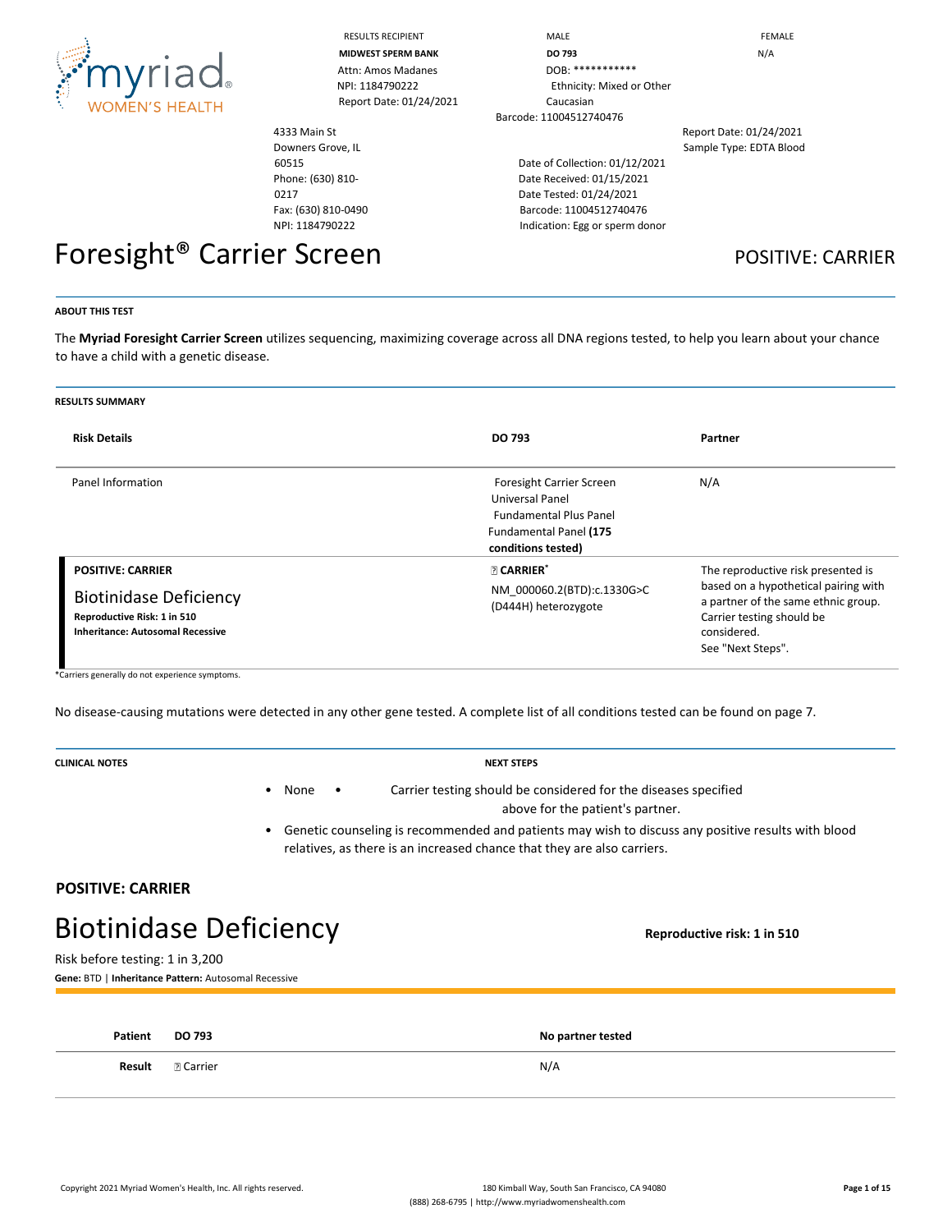

RESULTS RECIPIENT **MALE** MALE **FEMALE** 

4333 Main St Downers Grove, IL

Fax: (630) 810-0490 NPI: 1184790222

60515 Phone: (630) 810-

0217

**MIDWEST SPERM BANK DO 793 DO 793 N**/A Attn: Amos Madanes DOB: \*\*\*\*\*\*\*\*\*\*\*\* NPI: 1184790222 Ethnicity: Mixed or Other Report Date: 01/24/2021 Caucasian Barcode: 11004512740476

> Date of Collection: 01/12/2021 Date Received: 01/15/2021 Date Tested: 01/24/2021 Barcode: 11004512740476 Indication: Egg or sperm donor

Report Date: 01/24/2021 Sample Type: EDTA Blood

# Foresight<sup>®</sup> Carrier Screen **POSITIVE: CARRIER**

#### **ABOUT THIS TEST**

The **Myriad Foresight Carrier Screen** utilizes sequencing, maximizing coverage across all DNA regions tested, to help you learn about your chance to have a child with a genetic disease.

| <b>RESULTS SUMMARY</b>                                                                                                              |                                                                                                                                     |                                                                                                                                                                                    |
|-------------------------------------------------------------------------------------------------------------------------------------|-------------------------------------------------------------------------------------------------------------------------------------|------------------------------------------------------------------------------------------------------------------------------------------------------------------------------------|
| <b>Risk Details</b>                                                                                                                 | DO 793                                                                                                                              | Partner                                                                                                                                                                            |
| Panel Information                                                                                                                   | Foresight Carrier Screen<br><b>Universal Panel</b><br><b>Fundamental Plus Panel</b><br>Fundamental Panel (175<br>conditions tested) | N/A                                                                                                                                                                                |
| <b>POSITIVE: CARRIER</b><br><b>Biotinidase Deficiency</b><br>Reproductive Risk: 1 in 510<br><b>Inheritance: Autosomal Recessive</b> | <b>R</b> CARRIER*<br>NM 000060.2(BTD):c.1330G>C<br>(D444H) heterozygote                                                             | The reproductive risk presented is<br>based on a hypothetical pairing with<br>a partner of the same ethnic group.<br>Carrier testing should be<br>considered.<br>See "Next Steps". |

\*Carriers generally do not experience symptoms.

No disease-causing mutations were detected in any other gene tested. A complete list of all conditions tested can be found on page 7.

| <b>CLINICAL NOTES</b>                                        | <b>NEXT STEPS</b>                                                                                                                     |                                                                                                                                                                               |  |  |
|--------------------------------------------------------------|---------------------------------------------------------------------------------------------------------------------------------------|-------------------------------------------------------------------------------------------------------------------------------------------------------------------------------|--|--|
|                                                              | Carrier testing should be considered for the diseases specified<br>None<br>$\bullet$<br>$\bullet$<br>above for the patient's partner. |                                                                                                                                                                               |  |  |
|                                                              |                                                                                                                                       | Genetic counseling is recommended and patients may wish to discuss any positive results with blood<br>relatives, as there is an increased chance that they are also carriers. |  |  |
| <b>POSITIVE: CARRIER</b>                                     |                                                                                                                                       |                                                                                                                                                                               |  |  |
| <b>Biotinidase Deficiency</b><br>Reproductive risk: 1 in 510 |                                                                                                                                       |                                                                                                                                                                               |  |  |
| Risk before testing: 1 in 3,200                              | Gene: BTD   Inheritance Pattern: Autosomal Recessive                                                                                  |                                                                                                                                                                               |  |  |
|                                                              |                                                                                                                                       |                                                                                                                                                                               |  |  |
| Patient                                                      | <b>DO 793</b>                                                                                                                         | No partner tested                                                                                                                                                             |  |  |
| Result                                                       | <b>P. Carrier</b>                                                                                                                     | N/A                                                                                                                                                                           |  |  |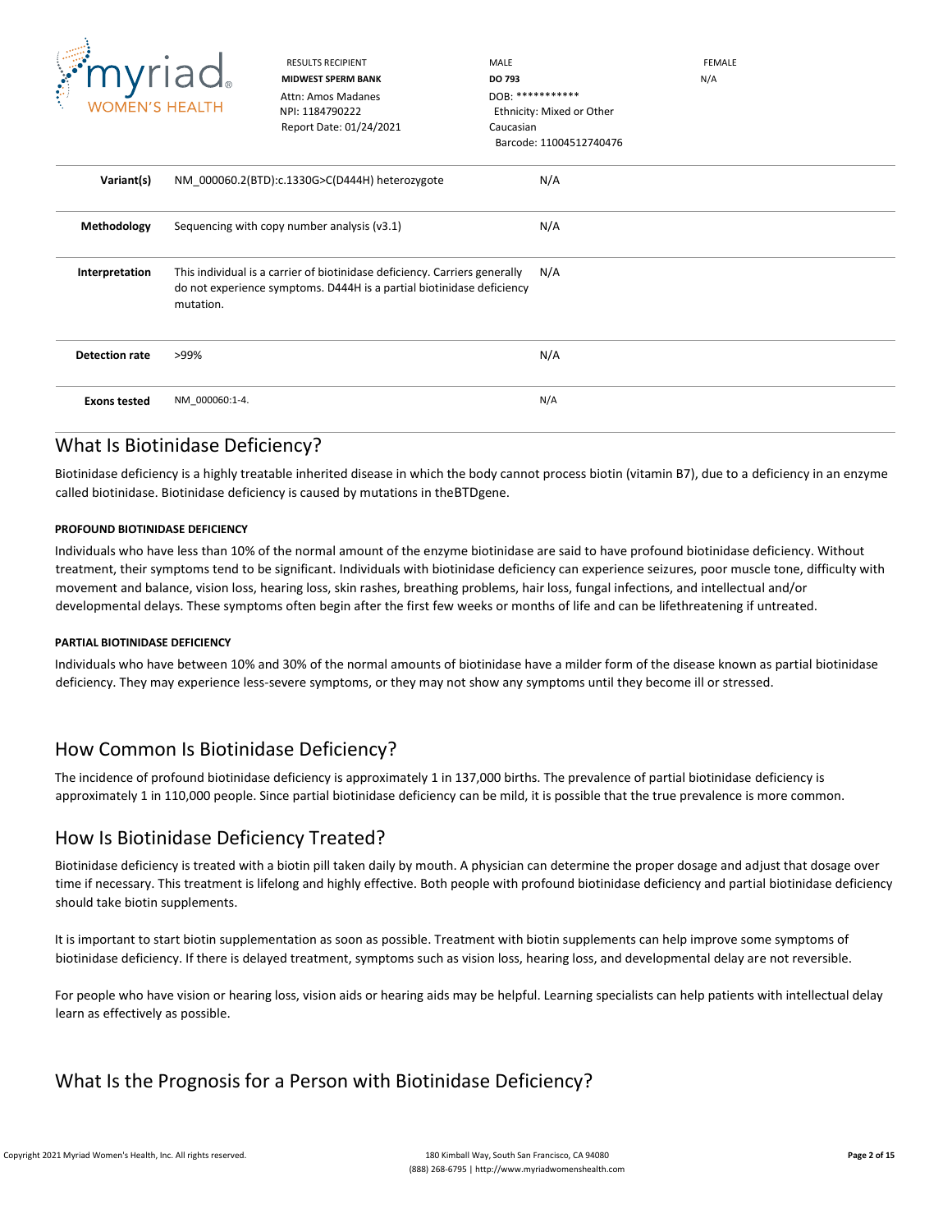

RESULTS RECIPIENT **MALE** MALE **MALE EEMALE MIDWEST SPERM BANK DO 793** N/A Barcode: 11004512740476

| W. | ┙<br><b>WOMEN'S HEALTH</b> |                | Attn: Amos Madanes<br>NPI: 1184790222<br>Report Date: 01/24/2021                                                                                    | $DOB:$ ************<br>Caucasian | Ethnicity: Mixed or Other<br>Barcode: 11004512740476 |  |
|----|----------------------------|----------------|-----------------------------------------------------------------------------------------------------------------------------------------------------|----------------------------------|------------------------------------------------------|--|
|    | Variant(s)                 |                | NM_000060.2(BTD):c.1330G>C(D444H) heterozygote                                                                                                      |                                  | N/A                                                  |  |
|    | Methodology                |                | Sequencing with copy number analysis (v3.1)                                                                                                         |                                  | N/A                                                  |  |
|    | Interpretation             | mutation.      | This individual is a carrier of biotinidase deficiency. Carriers generally<br>do not experience symptoms. D444H is a partial biotinidase deficiency |                                  | N/A                                                  |  |
|    | <b>Detection rate</b>      | >99%           |                                                                                                                                                     |                                  | N/A                                                  |  |
|    | <b>Exons tested</b>        | NM_000060:1-4. |                                                                                                                                                     |                                  | N/A                                                  |  |

# What Is Biotinidase Deficiency?

Biotinidase deficiency is a highly treatable inherited disease in which the body cannot process biotin (vitamin B7), due to a deficiency in an enzyme called biotinidase. Biotinidase deficiency is caused by mutations in theBTDgene.

### **PROFOUND BIOTINIDASE DEFICIENCY**

Individuals who have less than 10% of the normal amount of the enzyme biotinidase are said to have profound biotinidase deficiency. Without treatment, their symptoms tend to be significant. Individuals with biotinidase deficiency can experience seizures, poor muscle tone, difficulty with movement and balance, vision loss, hearing loss, skin rashes, breathing problems, hair loss, fungal infections, and intellectual and/or developmental delays. These symptoms often begin after the first few weeks or months of life and can be lifethreatening if untreated.

### **PARTIAL BIOTINIDASE DEFICIENCY**

Individuals who have between 10% and 30% of the normal amounts of biotinidase have a milder form of the disease known as partial biotinidase deficiency. They may experience less-severe symptoms, or they may not show any symptoms until they become ill or stressed.

# How Common Is Biotinidase Deficiency?

The incidence of profound biotinidase deficiency is approximately 1 in 137,000 births. The prevalence of partial biotinidase deficiency is approximately 1 in 110,000 people. Since partial biotinidase deficiency can be mild, it is possible that the true prevalence is more common.

### How Is Biotinidase Deficiency Treated?

Biotinidase deficiency is treated with a biotin pill taken daily by mouth. A physician can determine the proper dosage and adjust that dosage over time if necessary. This treatment is lifelong and highly effective. Both people with profound biotinidase deficiency and partial biotinidase deficiency should take biotin supplements.

It is important to start biotin supplementation as soon as possible. Treatment with biotin supplements can help improve some symptoms of biotinidase deficiency. If there is delayed treatment, symptoms such as vision loss, hearing loss, and developmental delay are not reversible.

For people who have vision or hearing loss, vision aids or hearing aids may be helpful. Learning specialists can help patients with intellectual delay learn as effectively as possible.

# What Is the Prognosis for a Person with Biotinidase Deficiency?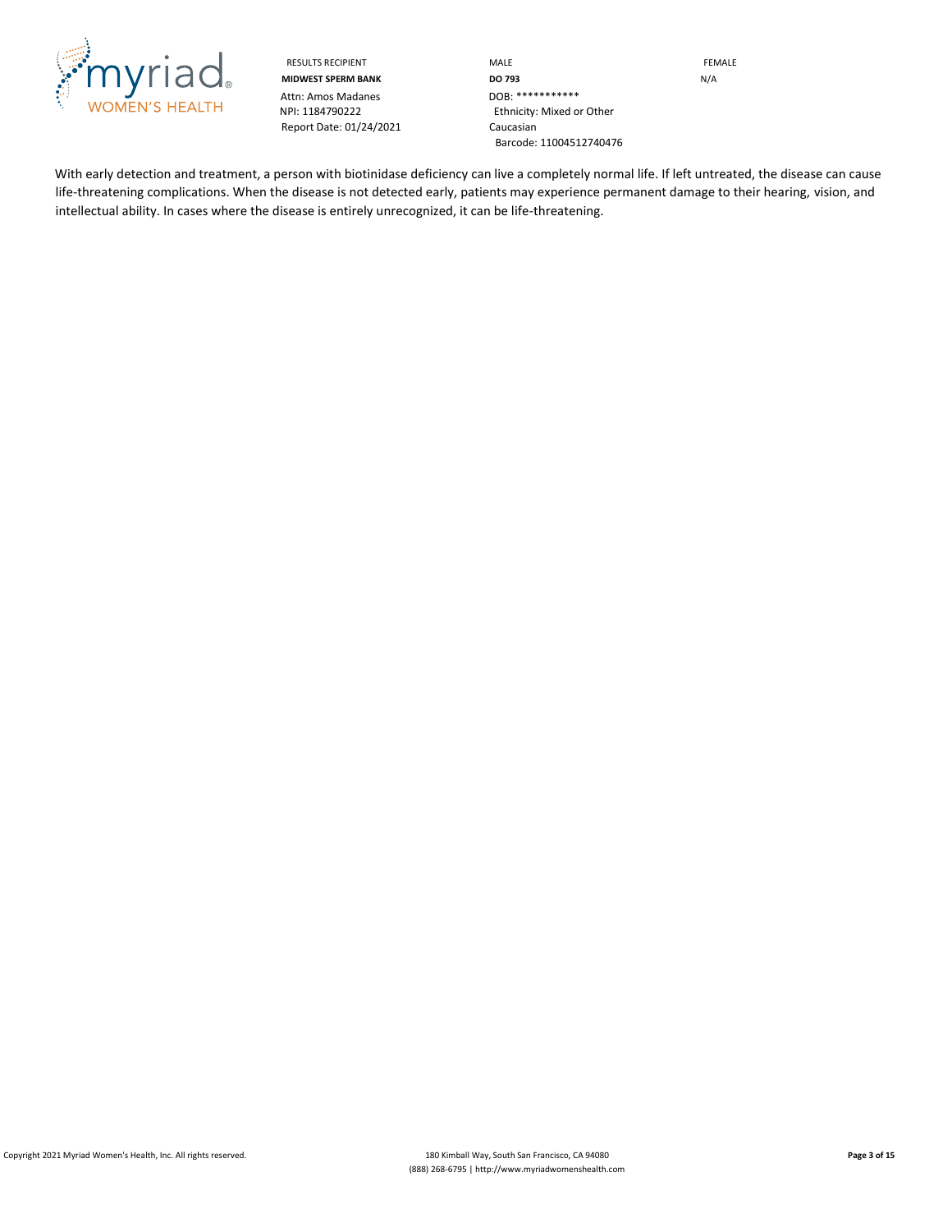

Attn: Amos Madanes<br>NPI: 1184790222 Report Date: 01/24/2021 Caucasian

RESULTS RECIPIENT **MALE MALE EXAMPLE MIDWEST SPERM BANK DO 793** N/A Ethnicity: Mixed or Other Barcode: 11004512740476

With early detection and treatment, a person with biotinidase deficiency can live a completely normal life. If left untreated, the disease can cause life-threatening complications. When the disease is not detected early, patients may experience permanent damage to their hearing, vision, and intellectual ability. In cases where the disease is entirely unrecognized, it can be life-threatening.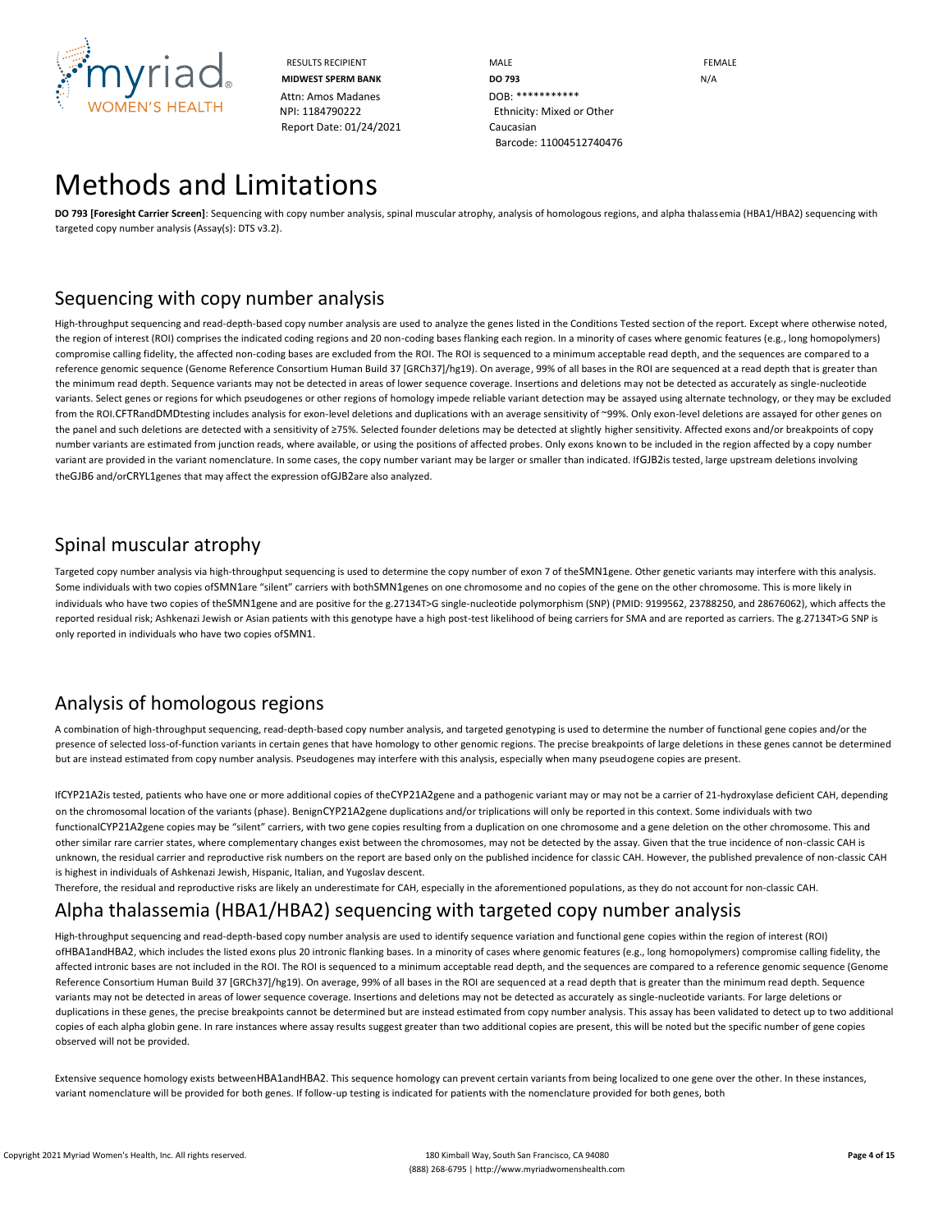

RESULTS RECIPIENT **MALE MALE EXAMPLE MIDWEST SPERM BANK DO 793 DO 793** N/A NPI: 1184790222 Ethnicity: Mixed or Other Barcode: 11004512740476

# Methods and Limitations

**DO 793 [Foresight Carrier Screen]**: Sequencing with copy number analysis, spinal muscular atrophy, analysis of homologous regions, and alpha thalassemia (HBA1/HBA2) sequencing with targeted copy number analysis (Assay(s): DTS v3.2).

## Sequencing with copy number analysis

High-throughput sequencing and read-depth-based copy number analysis are used to analyze the genes listed in the Conditions Tested section of the report. Except where otherwise noted, the region of interest (ROI) comprises the indicated coding regions and 20 non-coding bases flanking each region. In a minority of cases where genomic features (e.g., long homopolymers) compromise calling fidelity, the affected non-coding bases are excluded from the ROI. The ROI is sequenced to a minimum acceptable read depth, and the sequences are compared to a reference genomic sequence (Genome Reference Consortium Human Build 37 [GRCh37]/hg19). On average, 99% of all bases in the ROI are sequenced at a read depth that is greater than the minimum read depth. Sequence variants may not be detected in areas of lower sequence coverage. Insertions and deletions may not be detected as accurately as single-nucleotide variants. Select genes or regions for which pseudogenes or other regions of homology impede reliable variant detection may be assayed using alternate technology, or they may be excluded from the ROI.CFTRandDMDtesting includes analysis for exon-level deletions and duplications with an average sensitivity of ~99%. Only exon-level deletions are assayed for other genes on the panel and such deletions are detected with a sensitivity of ≥75%. Selected founder deletions may be detected at slightly higher sensitivity. Affected exons and/or breakpoints of copy number variants are estimated from junction reads, where available, or using the positions of affected probes. Only exons known to be included in the region affected by a copy number variant are provided in the variant nomenclature. In some cases, the copy number variant may be larger or smaller than indicated. If GJB2is tested, large upstream deletions involving theGJB6 and/orCRYL1genes that may affect the expression ofGJB2are also analyzed.

# Spinal muscular atrophy

Targeted copy number analysis via high-throughput sequencing is used to determine the copy number of exon 7 of theSMN1gene. Other genetic variants may interfere with this analysis. Some individuals with two copies ofSMN1are "silent" carriers with bothSMN1genes on one chromosome and no copies of the gene on the other chromosome. This is more likely in individuals who have two copies of theSMN1gene and are positive for the g.27134T>G single-nucleotide polymorphism (SNP) (PMID: 9199562, 23788250, and 28676062), which affects the reported residual risk; Ashkenazi Jewish or Asian patients with this genotype have a high post-test likelihood of being carriers for SMA and are reported as carriers. The g.27134T>G SNP is only reported in individuals who have two copies ofSMN1.

# Analysis of homologous regions

A combination of high-throughput sequencing, read-depth-based copy number analysis, and targeted genotyping is used to determine the number of functional gene copies and/or the presence of selected loss-of-function variants in certain genes that have homology to other genomic regions. The precise breakpoints of large deletions in these genes cannot be determined but are instead estimated from copy number analysis. Pseudogenes may interfere with this analysis, especially when many pseudogene copies are present.

IfCYP21A2is tested, patients who have one or more additional copies of theCYP21A2gene and a pathogenic variant may or may not be a carrier of 21-hydroxylase deficient CAH, depending on the chromosomal location of the variants (phase). BenignCYP21A2gene duplications and/or triplications will only be reported in this context. Some individuals with two functionalCYP21A2gene copies may be "silent" carriers, with two gene copies resulting from a duplication on one chromosome and a gene deletion on the other chromosome. This and other similar rare carrier states, where complementary changes exist between the chromosomes, may not be detected by the assay. Given that the true incidence of non-classic CAH is unknown, the residual carrier and reproductive risk numbers on the report are based only on the published incidence for classic CAH. However, the published prevalence of non-classic CAH is highest in individuals of Ashkenazi Jewish, Hispanic, Italian, and Yugoslav descent.

Therefore, the residual and reproductive risks are likely an underestimate for CAH, especially in the aforementioned populations, as they do not account for non-classic CAH.

# Alpha thalassemia (HBA1/HBA2) sequencing with targeted copy number analysis

High-throughput sequencing and read-depth-based copy number analysis are used to identify sequence variation and functional gene copies within the region of interest (ROI) ofHBA1andHBA2, which includes the listed exons plus 20 intronic flanking bases. In a minority of cases where genomic features (e.g., long homopolymers) compromise calling fidelity, the affected intronic bases are not included in the ROI. The ROI is sequenced to a minimum acceptable read depth, and the sequences are compared to a reference genomic sequence (Genome Reference Consortium Human Build 37 [GRCh37]/hg19). On average, 99% of all bases in the ROI are sequenced at a read depth that is greater than the minimum read depth. Sequence variants may not be detected in areas of lower sequence coverage. Insertions and deletions may not be detected as accurately as single-nucleotide variants. For large deletions or duplications in these genes, the precise breakpoints cannot be determined but are instead estimated from copy number analysis. This assay has been validated to detect up to two additional copies of each alpha globin gene. In rare instances where assay results suggest greater than two additional copies are present, this will be noted but the specific number of gene copies observed will not be provided.

Extensive sequence homology exists betweenHBA1andHBA2. This sequence homology can prevent certain variants from being localized to one gene over the other. In these instances, variant nomenclature will be provided for both genes. If follow-up testing is indicated for patients with the nomenclature provided for both genes, both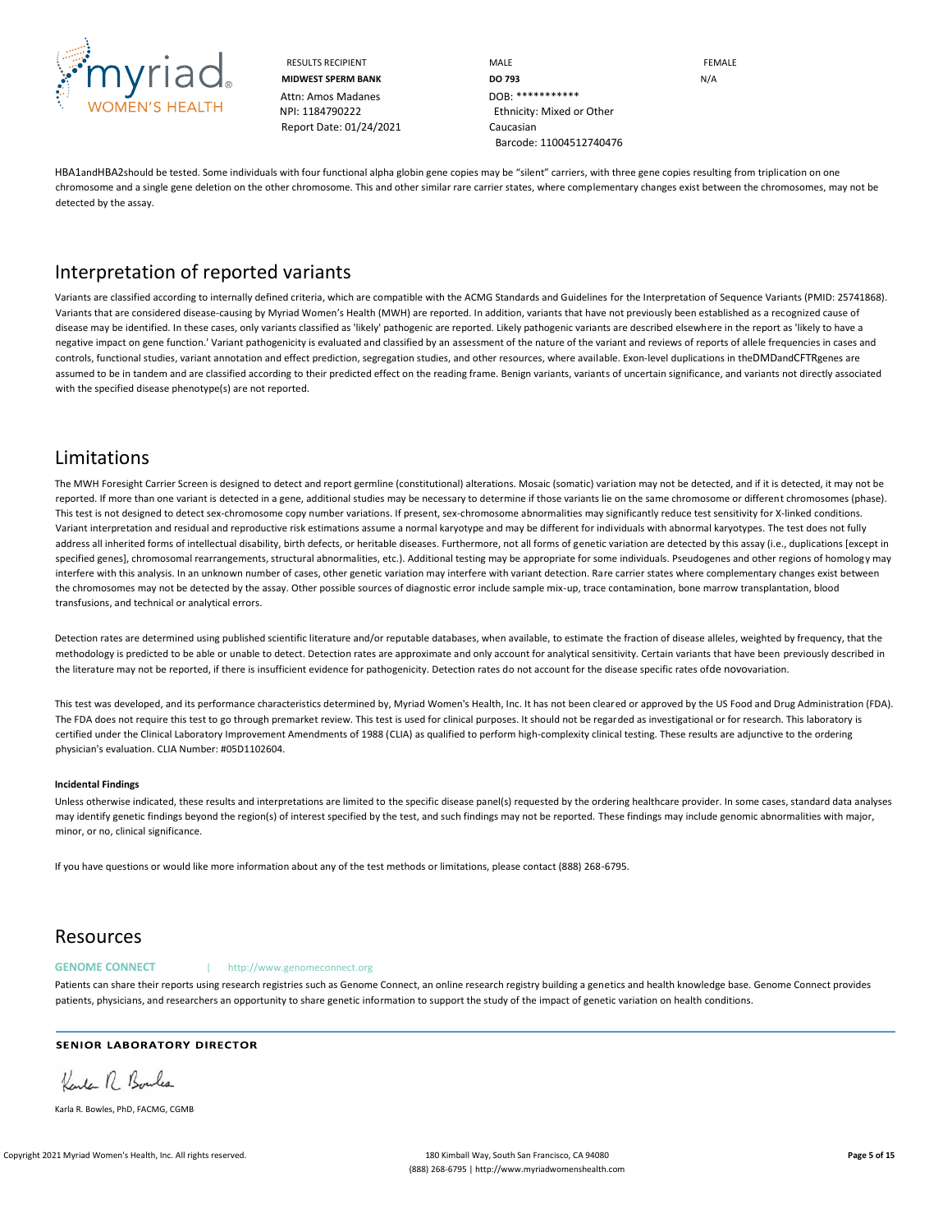

Attn: Amos Madanes **DOB: \*\*\*\*\*\*\*\*\*\*\*\*\*\*\*\*\*\*\*\*\*\*\*\*\*\*\*** Report Date: 01/24/2021 Caucasian

RESULTS RECIPIENT **MALE MALE EXAMPLE MIDWEST SPERM BANK DO 793 DO 793** N/A NPI: 1184790222 Ethnicity: Mixed or Other Barcode: 11004512740476

HBA1andHBA2should be tested. Some individuals with four functional alpha globin gene copies may be "silent" carriers, with three gene copies resulting from triplication on one chromosome and a single gene deletion on the other chromosome. This and other similar rare carrier states, where complementary changes exist between the chromosomes, may not be detected by the assay.

## Interpretation of reported variants

Variants are classified according to internally defined criteria, which are compatible with the ACMG Standards and Guidelines for the Interpretation of Sequence Variants (PMID: 25741868). Variants that are considered disease-causing by Myriad Women's Health (MWH) are reported. In addition, variants that have not previously been established as a recognized cause of disease may be identified. In these cases, only variants classified as 'likely' pathogenic are reported. Likely pathogenic variants are described elsewhere in the report as 'likely to have a negative impact on gene function.' Variant pathogenicity is evaluated and classified by an assessment of the nature of the variant and reviews of reports of allele frequencies in cases and controls, functional studies, variant annotation and effect prediction, segregation studies, and other resources, where available. Exon-level duplications in theDMDandCFTRgenes are assumed to be in tandem and are classified according to their predicted effect on the reading frame. Benign variants, variants of uncertain significance, and variants not directly associated with the specified disease phenotype(s) are not reported.

### Limitations

The MWH Foresight Carrier Screen is designed to detect and report germline (constitutional) alterations. Mosaic (somatic) variation may not be detected, and if it is detected, it may not be reported. If more than one variant is detected in a gene, additional studies may be necessary to determine if those variants lie on the same chromosome or different chromosomes (phase). This test is not designed to detect sex-chromosome copy number variations. If present, sex-chromosome abnormalities may significantly reduce test sensitivity for X-linked conditions. Variant interpretation and residual and reproductive risk estimations assume a normal karyotype and may be different for individuals with abnormal karyotypes. The test does not fully address all inherited forms of intellectual disability, birth defects, or heritable diseases. Furthermore, not all forms of genetic variation are detected by this assay (i.e., duplications [except in specified genes], chromosomal rearrangements, structural abnormalities, etc.). Additional testing may be appropriate for some individuals. Pseudogenes and other regions of homology may interfere with this analysis. In an unknown number of cases, other genetic variation may interfere with variant detection. Rare carrier states where complementary changes exist between the chromosomes may not be detected by the assay. Other possible sources of diagnostic error include sample mix-up, trace contamination, bone marrow transplantation, blood transfusions, and technical or analytical errors.

Detection rates are determined using published scientific literature and/or reputable databases, when available, to estimate the fraction of disease alleles, weighted by frequency, that the methodology is predicted to be able or unable to detect. Detection rates are approximate and only account for analytical sensitivity. Certain variants that have been previously described in the literature may not be reported, if there is insufficient evidence for pathogenicity. Detection rates do not account for the disease specific rates ofde novovariation.

This test was developed, and its performance characteristics determined by, Myriad Women's Health, Inc. It has not been cleared or approved by the US Food and Drug Administration (FDA). The FDA does not require this test to go through premarket review. This test is used for clinical purposes. It should not be regarded as investigational or for research. This laboratory is certified under the Clinical Laboratory Improvement Amendments of 1988 (CLIA) as qualified to perform high-complexity clinical testing. These results are adjunctive to the ordering physician's evaluation. CLIA Number: #05D1102604.

#### **Incidental Findings**

Unless otherwise indicated, these results and interpretations are limited to the specific disease panel(s) requested by the ordering healthcare provider. In some cases, standard data analyses may identify genetic findings beyond the region(s) of interest specified by the test, and such findings may not be reported. These findings may include genomic abnormalities with major, minor, or no, clinical significance.

If you have questions or would like more information about any of the test methods or limitations, please contact (888) 268-6795.

### Resources

#### GENOME CONNECT | http://www.genomeconnect.org

Patients can share their reports using research registries such as Genome Connect, an online research registry building a genetics and health knowledge base. Genome Connect provides patients, physicians, and researchers an opportunity to share genetic information to support the study of the impact of genetic variation on health conditions.

### **SENIOR LABORATORY DIRECTOR**

Kender R Boules

Karla R. Bowles, PhD, FACMG, CGMB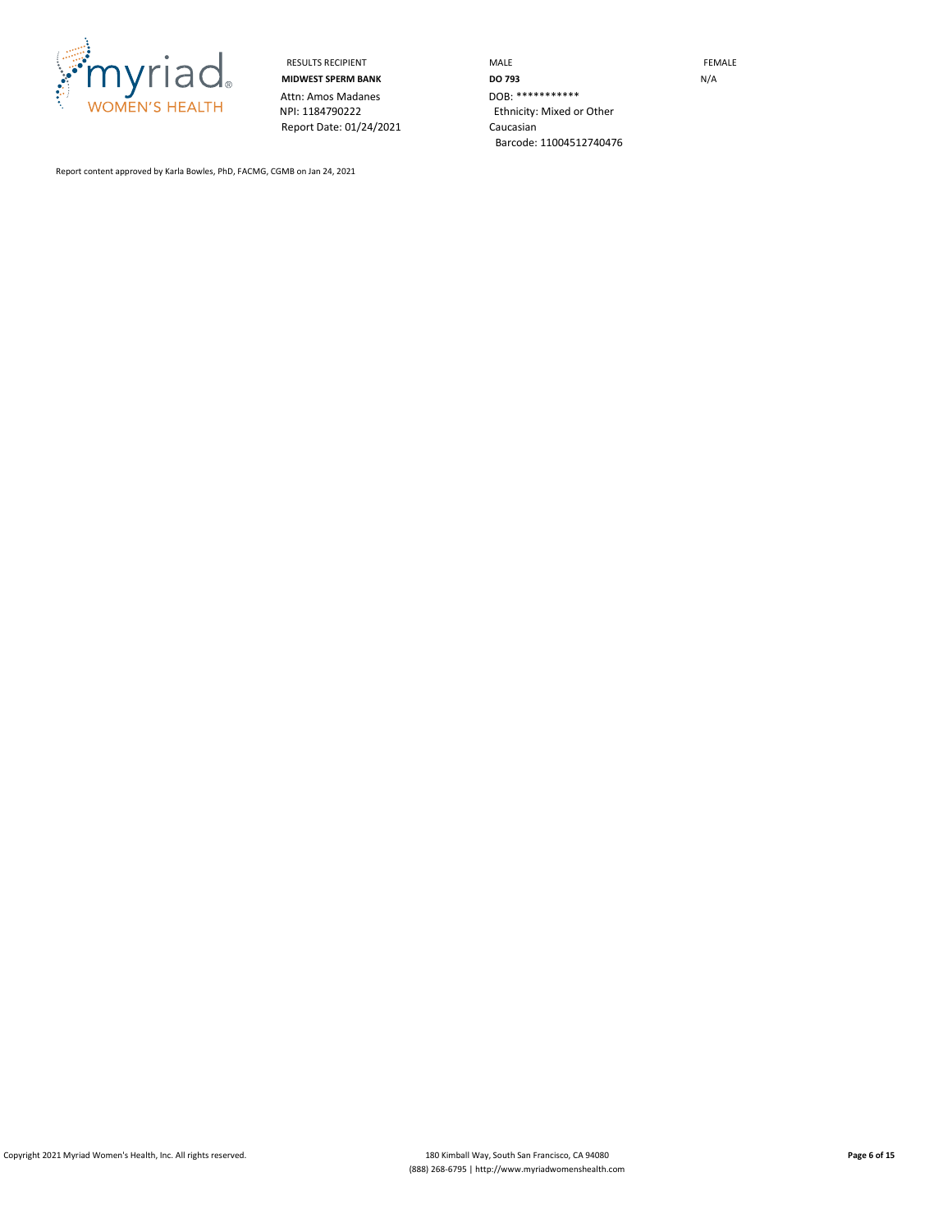

Attn: Amos Madanes<br>NPI: 1184790222 Report Date: 01/24/2021 Caucasian

RESULTS RECIPIENT **MALE MALE MIDWEST SPERM BANK DO 793** N/A Ethnicity: Mixed or Other Barcode: 11004512740476

Report content approved by Karla Bowles, PhD, FACMG, CGMB on Jan 24, 2021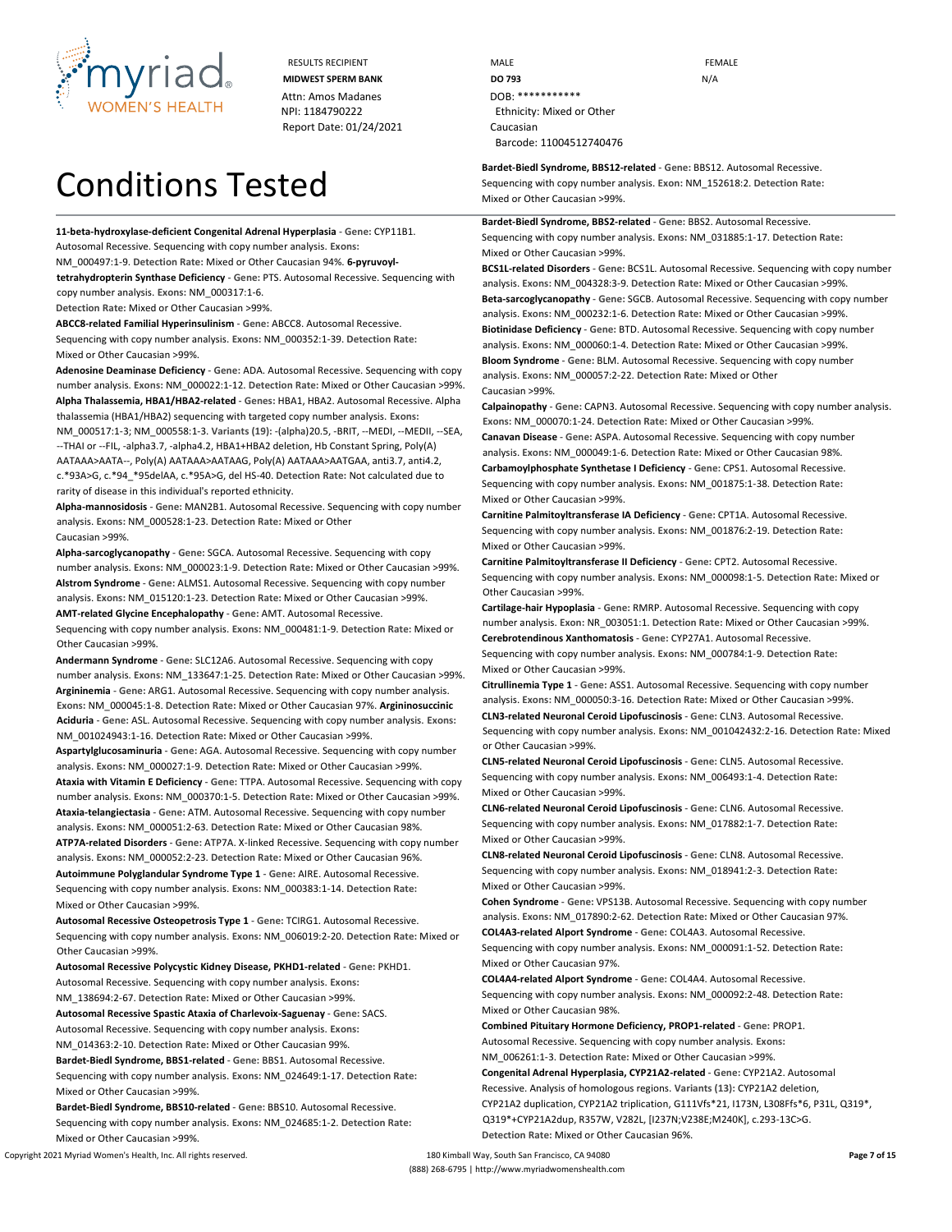

# Conditions Tested

**11-beta-hydroxylase-deficient Congenital Adrenal Hyperplasia** - **Gene:** CYP11B1. Autosomal Recessive. Sequencing with copy number analysis. **Exons:**

NM\_000497:1-9. **Detection Rate:** Mixed or Other Caucasian 94%. **6-pyruvoyl-**

**tetrahydropterin Synthase Deficiency** - **Gene:** PTS. Autosomal Recessive. Sequencing with copy number analysis. **Exons:** NM\_000317:1-6.

**Detection Rate:** Mixed or Other Caucasian >99%.

**ABCC8-related Familial Hyperinsulinism** - **Gene:** ABCC8. Autosomal Recessive. Sequencing with copy number analysis. **Exons:** NM\_000352:1-39. **Detection Rate:** Mixed or Other Caucasian >99%.

**Adenosine Deaminase Deficiency** - **Gene:** ADA. Autosomal Recessive. Sequencing with copy number analysis. **Exons:** NM\_000022:1-12. **Detection Rate:** Mixed or Other Caucasian >99%. **Alpha Thalassemia, HBA1/HBA2-related** - **Genes:** HBA1, HBA2. Autosomal Recessive. Alpha thalassemia (HBA1/HBA2) sequencing with targeted copy number analysis. **Exons:**  NM\_000517:1-3; NM\_000558:1-3. **Variants (19):** -(alpha)20.5, -BRIT, --MEDI, --MEDII, --SEA, --THAI or --FIL, -alpha3.7, -alpha4.2, HBA1+HBA2 deletion, Hb Constant Spring, Poly(A) AATAAA>AATA--, Poly(A) AATAAA>AATAAG, Poly(A) AATAAA>AATGAA, anti3.7, anti4.2, c.\*93A>G, c.\*94\_\*95delAA, c.\*95A>G, del HS-40. **Detection Rate:** Not calculated due to rarity of disease in this individual's reported ethnicity.

**Alpha-mannosidosis** - **Gene:** MAN2B1. Autosomal Recessive. Sequencing with copy number analysis. **Exons:** NM\_000528:1-23. **Detection Rate:** Mixed or Other Caucasian >99%.

**Alpha-sarcoglycanopathy** - **Gene:** SGCA. Autosomal Recessive. Sequencing with copy number analysis. **Exons:** NM\_000023:1-9. **Detection Rate:** Mixed or Other Caucasian >99%. **Alstrom Syndrome** - **Gene:** ALMS1. Autosomal Recessive. Sequencing with copy number analysis. **Exons:** NM\_015120:1-23. **Detection Rate:** Mixed or Other Caucasian >99%. **AMT-related Glycine Encephalopathy** - **Gene:** AMT. Autosomal Recessive.

Sequencing with copy number analysis. **Exons:** NM\_000481:1-9. **Detection Rate:** Mixed or Other Caucasian >99%.

**Andermann Syndrome** - **Gene:** SLC12A6. Autosomal Recessive. Sequencing with copy number analysis. **Exons:** NM\_133647:1-25. **Detection Rate:** Mixed or Other Caucasian >99%. **Argininemia** - **Gene:** ARG1. Autosomal Recessive. Sequencing with copy number analysis. **Exons:** NM\_000045:1-8. **Detection Rate:** Mixed or Other Caucasian 97%. **Argininosuccinic Aciduria** - **Gene:** ASL. Autosomal Recessive. Sequencing with copy number analysis. **Exons:**  NM\_001024943:1-16. **Detection Rate:** Mixed or Other Caucasian >99%.

**Aspartylglucosaminuria** - **Gene:** AGA. Autosomal Recessive. Sequencing with copy number analysis. **Exons:** NM\_000027:1-9. **Detection Rate:** Mixed or Other Caucasian >99%. **Ataxia with Vitamin E Deficiency** - **Gene:** TTPA. Autosomal Recessive. Sequencing with copy number analysis. **Exons:** NM\_000370:1-5. **Detection Rate:** Mixed or Other Caucasian >99%. **Ataxia-telangiectasia** - **Gene:** ATM. Autosomal Recessive. Sequencing with copy number analysis. **Exons:** NM\_000051:2-63. **Detection Rate:** Mixed or Other Caucasian 98%. **ATP7A-related Disorders** - **Gene:** ATP7A. X-linked Recessive. Sequencing with copy number analysis. **Exons:** NM\_000052:2-23. **Detection Rate:** Mixed or Other Caucasian 96%. **Autoimmune Polyglandular Syndrome Type 1** - **Gene:** AIRE. Autosomal Recessive. Sequencing with copy number analysis. **Exons:** NM\_000383:1-14. **Detection Rate:** Mixed or Other Caucasian >99%.

**Autosomal Recessive Osteopetrosis Type 1** - **Gene:** TCIRG1. Autosomal Recessive. Sequencing with copy number analysis. **Exons:** NM\_006019:2-20. **Detection Rate:** Mixed or Other Caucasian >99%.

**Autosomal Recessive Polycystic Kidney Disease, PKHD1-related** - **Gene:** PKHD1. Autosomal Recessive. Sequencing with copy number analysis. **Exons:**

NM\_138694:2-67. **Detection Rate:** Mixed or Other Caucasian >99%.

**Autosomal Recessive Spastic Ataxia of Charlevoix-Saguenay** - **Gene:** SACS. Autosomal Recessive. Sequencing with copy number analysis. **Exons:** NM\_014363:2-10. **Detection Rate:** Mixed or Other Caucasian 99%.

**Bardet-Biedl Syndrome, BBS1-related** - **Gene:** BBS1. Autosomal Recessive. Sequencing with copy number analysis. **Exons:** NM\_024649:1-17. **Detection Rate:** Mixed or Other Caucasian >99%.

**Bardet-Biedl Syndrome, BBS10-related** - **Gene:** BBS10. Autosomal Recessive. Sequencing with copy number analysis. **Exons:** NM\_024685:1-2. **Detection Rate:** Mixed or Other Caucasian >99%.

RESULTS RECIPIENT **MALE MALE EXAMPLE MIDWEST SPERM BANK DO 793 DO 793** N/A NPI: 1184790222 Ethnicity: Mixed or Other Barcode: 11004512740476

> **Bardet-Biedl Syndrome, BBS12-related** - **Gene:** BBS12. Autosomal Recessive. Sequencing with copy number analysis. **Exon:** NM\_152618:2. **Detection Rate:** Mixed or Other Caucasian >99%.

**Bardet-Biedl Syndrome, BBS2-related** - **Gene:** BBS2. Autosomal Recessive. Sequencing with copy number analysis. **Exons:** NM\_031885:1-17. **Detection Rate:** Mixed or Other Caucasian >99%.

**BCS1L-related Disorders** - **Gene:** BCS1L. Autosomal Recessive. Sequencing with copy number analysis. **Exons:** NM\_004328:3-9. **Detection Rate:** Mixed or Other Caucasian >99%. **Beta-sarcoglycanopathy** - **Gene:** SGCB. Autosomal Recessive. Sequencing with copy number analysis. **Exons:** NM\_000232:1-6. **Detection Rate:** Mixed or Other Caucasian >99%. **Biotinidase Deficiency** - **Gene:** BTD. Autosomal Recessive. Sequencing with copy number analysis. **Exons:** NM\_000060:1-4. **Detection Rate:** Mixed or Other Caucasian >99%. **Bloom Syndrome** - **Gene:** BLM. Autosomal Recessive. Sequencing with copy number analysis. **Exons:** NM\_000057:2-22. **Detection Rate:** Mixed or Other Caucasian >99%.

**Calpainopathy** - **Gene:** CAPN3. Autosomal Recessive. Sequencing with copy number analysis. **Exons:** NM\_000070:1-24. **Detection Rate:** Mixed or Other Caucasian >99%. **Canavan Disease** - **Gene:** ASPA. Autosomal Recessive. Sequencing with copy number analysis. **Exons:** NM\_000049:1-6. **Detection Rate:** Mixed or Other Caucasian 98%. **Carbamoylphosphate Synthetase I Deficiency** - **Gene:** CPS1. Autosomal Recessive. Sequencing with copy number analysis. **Exons:** NM\_001875:1-38. **Detection Rate:** Mixed or Other Caucasian >99%.

**Carnitine Palmitoyltransferase IA Deficiency** - **Gene:** CPT1A. Autosomal Recessive. Sequencing with copy number analysis. **Exons:** NM\_001876:2-19. **Detection Rate:** Mixed or Other Caucasian >99%.

**Carnitine Palmitoyltransferase II Deficiency** - **Gene:** CPT2. Autosomal Recessive. Sequencing with copy number analysis. **Exons:** NM\_000098:1-5. **Detection Rate:** Mixed or Other Caucasian >99%.

**Cartilage-hair Hypoplasia** - **Gene:** RMRP. Autosomal Recessive. Sequencing with copy number analysis. **Exon:** NR\_003051:1. **Detection Rate:** Mixed or Other Caucasian >99%. **Cerebrotendinous Xanthomatosis** - **Gene:** CYP27A1. Autosomal Recessive.

Sequencing with copy number analysis. **Exons:** NM\_000784:1-9. **Detection Rate:** Mixed or Other Caucasian >99%.

**Citrullinemia Type 1** - **Gene:** ASS1. Autosomal Recessive. Sequencing with copy number analysis. **Exons:** NM\_000050:3-16. **Detection Rate:** Mixed or Other Caucasian >99%. **CLN3-related Neuronal Ceroid Lipofuscinosis** - **Gene:** CLN3. Autosomal Recessive. Sequencing with copy number analysis. **Exons:** NM\_001042432:2-16. **Detection Rate:** Mixed or Other Caucasian >99%.

**CLN5-related Neuronal Ceroid Lipofuscinosis** - **Gene:** CLN5. Autosomal Recessive. Sequencing with copy number analysis. **Exons:** NM\_006493:1-4. **Detection Rate:** Mixed or Other Caucasian >99%.

**CLN6-related Neuronal Ceroid Lipofuscinosis** - **Gene:** CLN6. Autosomal Recessive. Sequencing with copy number analysis. **Exons:** NM\_017882:1-7. **Detection Rate:** Mixed or Other Caucasian >99%.

**CLN8-related Neuronal Ceroid Lipofuscinosis** - **Gene:** CLN8. Autosomal Recessive. Sequencing with copy number analysis. **Exons:** NM\_018941:2-3. **Detection Rate:** Mixed or Other Caucasian >99%.

**Cohen Syndrome** - **Gene:** VPS13B. Autosomal Recessive. Sequencing with copy number analysis. **Exons:** NM\_017890:2-62. **Detection Rate:** Mixed or Other Caucasian 97%. **COL4A3-related Alport Syndrome** - **Gene:** COL4A3. Autosomal Recessive.

Sequencing with copy number analysis. **Exons:** NM\_000091:1-52. **Detection Rate:** Mixed or Other Caucasian 97%.

**COL4A4-related Alport Syndrome** - **Gene:** COL4A4. Autosomal Recessive. Sequencing with copy number analysis. **Exons:** NM\_000092:2-48. **Detection Rate:** Mixed or Other Caucasian 98%.

**Combined Pituitary Hormone Deficiency, PROP1-related** - **Gene:** PROP1. Autosomal Recessive. Sequencing with copy number analysis. **Exons:** NM\_006261:1-3. **Detection Rate:** Mixed or Other Caucasian >99%.

**Congenital Adrenal Hyperplasia, CYP21A2-related** - **Gene:** CYP21A2. Autosomal Recessive. Analysis of homologous regions. **Variants (13):** CYP21A2 deletion, CYP21A2 duplication, CYP21A2 triplication, G111Vfs\*21, I173N, L308Ffs\*6, P31L, Q319\*, Q319\*+CYP21A2dup, R357W, V282L, [I237N;V238E;M240K], c.293-13C>G. **Detection Rate:** Mixed or Other Caucasian 96%.

Copyright 2021 Myriad Women's Health, Inc. All rights reserved. 180 Kimball Way, South San Francisco, CA 94080 **Page 7 of 15** (888) 268-6795 | http://www.myriadwomenshealth.com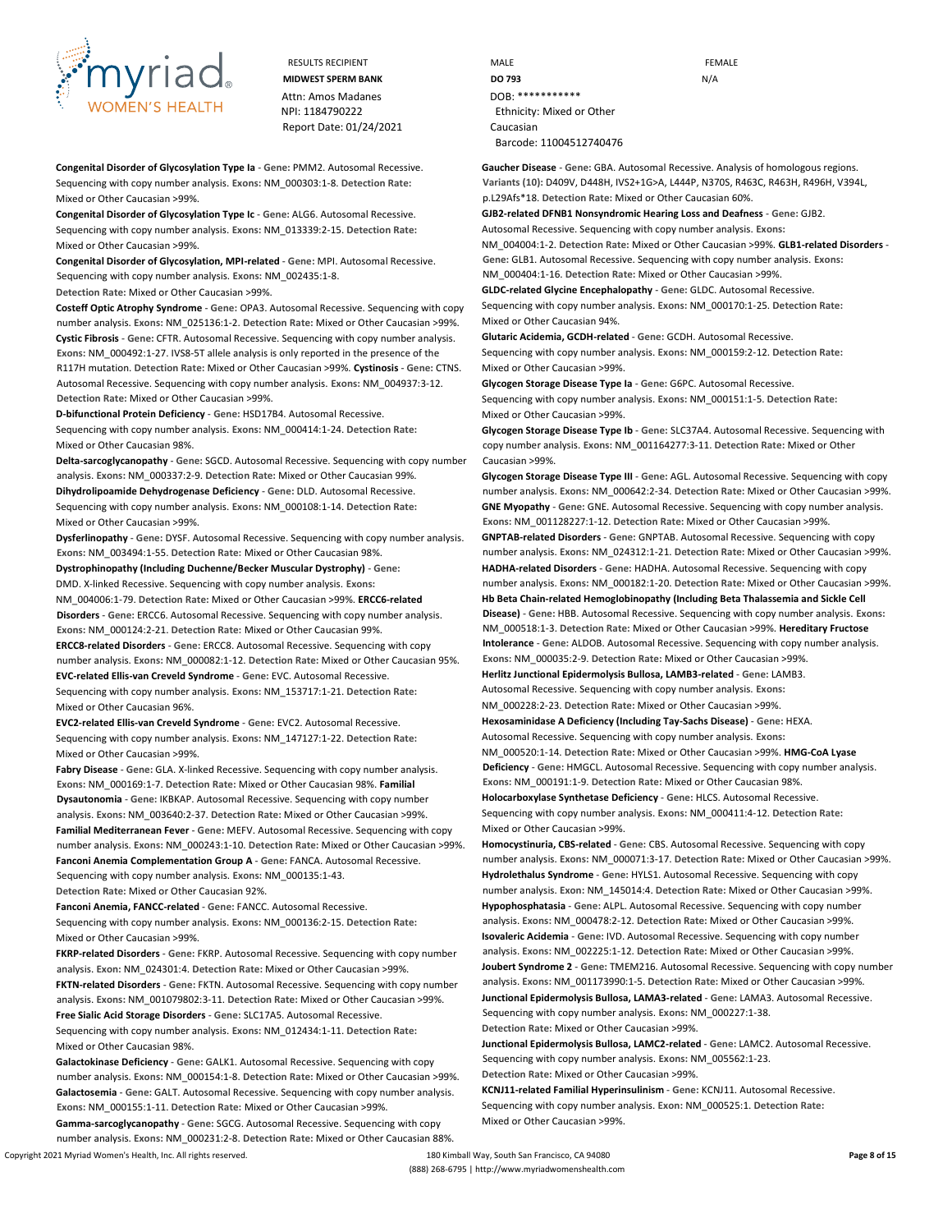

**Congenital Disorder of Glycosylation Type Ia** - **Gene:** PMM2. Autosomal Recessive. Sequencing with copy number analysis. **Exons:** NM\_000303:1-8. **Detection Rate:** Mixed or Other Caucasian >99%.

**Congenital Disorder of Glycosylation Type Ic** - **Gene:** ALG6. Autosomal Recessive. Sequencing with copy number analysis. **Exons:** NM\_013339:2-15. **Detection Rate:** Mixed or Other Caucasian >99%.

**Congenital Disorder of Glycosylation, MPI-related** - **Gene:** MPI. Autosomal Recessive. Sequencing with copy number analysis. **Exons:** NM\_002435:1-8. **Detection Rate:** Mixed or Other Caucasian >99%.

**Costeff Optic Atrophy Syndrome** - **Gene:** OPA3. Autosomal Recessive. Sequencing with copy number analysis. **Exons:** NM\_025136:1-2. **Detection Rate:** Mixed or Other Caucasian >99%. **Cystic Fibrosis** - **Gene:** CFTR. Autosomal Recessive. Sequencing with copy number analysis. **Exons:** NM\_000492:1-27. IVS8-5T allele analysis is only reported in the presence of the R117H mutation. **Detection Rate:** Mixed or Other Caucasian >99%. **Cystinosis** - **Gene:** CTNS. Autosomal Recessive. Sequencing with copy number analysis. **Exons:** NM\_004937:3-12. **Detection Rate:** Mixed or Other Caucasian >99%.

**D-bifunctional Protein Deficiency** - **Gene:** HSD17B4. Autosomal Recessive. Sequencing with copy number analysis. **Exons:** NM\_000414:1-24. **Detection Rate:** Mixed or Other Caucasian 98%.

**Delta-sarcoglycanopathy** - **Gene:** SGCD. Autosomal Recessive. Sequencing with copy number analysis. **Exons:** NM\_000337:2-9. **Detection Rate:** Mixed or Other Caucasian 99%. **Dihydrolipoamide Dehydrogenase Deficiency** - **Gene:** DLD. Autosomal Recessive. Sequencing with copy number analysis. **Exons:** NM\_000108:1-14. **Detection Rate:** Mixed or Other Caucasian >99%.

**Dysferlinopathy** - **Gene:** DYSF. Autosomal Recessive. Sequencing with copy number analysis. **Exons:** NM\_003494:1-55. **Detection Rate:** Mixed or Other Caucasian 98%.

**Dystrophinopathy (Including Duchenne/Becker Muscular Dystrophy)** - **Gene:** DMD. X-linked Recessive. Sequencing with copy number analysis. **Exons:** NM\_004006:1-79. **Detection Rate:** Mixed or Other Caucasian >99%. **ERCC6-related Disorders** - **Gene:** ERCC6. Autosomal Recessive. Sequencing with copy number analysis. **Exons:** NM\_000124:2-21. **Detection Rate:** Mixed or Other Caucasian 99%.

**ERCC8-related Disorders** - **Gene:** ERCC8. Autosomal Recessive. Sequencing with copy number analysis. **Exons:** NM\_000082:1-12. **Detection Rate:** Mixed or Other Caucasian 95%.

**EVC-related Ellis-van Creveld Syndrome** - **Gene:** EVC. Autosomal Recessive. Sequencing with copy number analysis. **Exons:** NM\_153717:1-21. **Detection Rate:** Mixed or Other Caucasian 96%.

**EVC2-related Ellis-van Creveld Syndrome** - **Gene:** EVC2. Autosomal Recessive. Sequencing with copy number analysis. **Exons:** NM\_147127:1-22. **Detection Rate:** Mixed or Other Caucasian >99%.

**Fabry Disease** - **Gene:** GLA. X-linked Recessive. Sequencing with copy number analysis. **Exons:** NM\_000169:1-7. **Detection Rate:** Mixed or Other Caucasian 98%. **Familial Dysautonomia** - **Gene:** IKBKAP. Autosomal Recessive. Sequencing with copy number analysis. **Exons:** NM\_003640:2-37. **Detection Rate:** Mixed or Other Caucasian >99%. **Familial Mediterranean Fever** - **Gene:** MEFV. Autosomal Recessive. Sequencing with copy number analysis. **Exons:** NM\_000243:1-10. **Detection Rate:** Mixed or Other Caucasian >99%. **Fanconi Anemia Complementation Group A** - **Gene:** FANCA. Autosomal Recessive. Sequencing with copy number analysis. **Exons:** NM\_000135:1-43. **Detection Rate:** Mixed or Other Caucasian 92%.

**Fanconi Anemia, FANCC-related** - **Gene:** FANCC. Autosomal Recessive. Sequencing with copy number analysis. **Exons:** NM\_000136:2-15. **Detection Rate:** Mixed or Other Caucasian >99%.

**FKRP-related Disorders** - **Gene:** FKRP. Autosomal Recessive. Sequencing with copy number analysis. **Exon:** NM\_024301:4. **Detection Rate:** Mixed or Other Caucasian >99%. **FKTN-related Disorders** - **Gene:** FKTN. Autosomal Recessive. Sequencing with copy number analysis. **Exons:** NM\_001079802:3-11. **Detection Rate:** Mixed or Other Caucasian >99%. **Free Sialic Acid Storage Disorders** - **Gene:** SLC17A5. Autosomal Recessive.

Sequencing with copy number analysis. **Exons:** NM\_012434:1-11. **Detection Rate:** Mixed or Other Caucasian 98%.

**Galactokinase Deficiency** - **Gene:** GALK1. Autosomal Recessive. Sequencing with copy number analysis. **Exons:** NM\_000154:1-8. **Detection Rate:** Mixed or Other Caucasian >99%. **Galactosemia** - **Gene:** GALT. Autosomal Recessive. Sequencing with copy number analysis. **Exons:** NM\_000155:1-11. **Detection Rate:** Mixed or Other Caucasian >99%.

**Gamma-sarcoglycanopathy** - **Gene:** SGCG. Autosomal Recessive. Sequencing with copy number analysis. **Exons:** NM\_000231:2-8. **Detection Rate:** Mixed or Other Caucasian 88%.

RESULTS RECIPIENT **And CONTACT CONTROLLER CONTROLLER CONTROLLER CONTROLLER CONTROLLER CONTROLLER CONTROLLER CONTROLLER MIDWEST SPERM BANK DO 793** N/A NPI: 1184790222 Ethnicity: Mixed or Other Barcode: 11004512740476

> **Gaucher Disease** - **Gene:** GBA. Autosomal Recessive. Analysis of homologous regions. **Variants (10):** D409V, D448H, IVS2+1G>A, L444P, N370S, R463C, R463H, R496H, V394L, p.L29Afs\*18. **Detection Rate:** Mixed or Other Caucasian 60%.

**GJB2-related DFNB1 Nonsyndromic Hearing Loss and Deafness** - **Gene:** GJB2. Autosomal Recessive. Sequencing with copy number analysis. **Exons:** NM\_004004:1-2. **Detection Rate:** Mixed or Other Caucasian >99%. **GLB1-related Disorders** - **Gene:** GLB1. Autosomal Recessive. Sequencing with copy number analysis. **Exons:** 

NM\_000404:1-16. **Detection Rate:** Mixed or Other Caucasian >99%. **GLDC-related Glycine Encephalopathy** - **Gene:** GLDC. Autosomal Recessive. Sequencing with copy number analysis. **Exons:** NM\_000170:1-25. **Detection Rate:**

Mixed or Other Caucasian 94%. **Glutaric Acidemia, GCDH-related** - **Gene:** GCDH. Autosomal Recessive.

Sequencing with copy number analysis. **Exons:** NM\_000159:2-12. **Detection Rate:** Mixed or Other Caucasian >99%.

**Glycogen Storage Disease Type Ia** - **Gene:** G6PC. Autosomal Recessive. Sequencing with copy number analysis. **Exons:** NM\_000151:1-5. **Detection Rate:** Mixed or Other Caucasian >99%.

**Glycogen Storage Disease Type Ib** - **Gene:** SLC37A4. Autosomal Recessive. Sequencing with copy number analysis. **Exons:** NM\_001164277:3-11. **Detection Rate:** Mixed or Other Caucasian >99%.

**Glycogen Storage Disease Type III** - **Gene:** AGL. Autosomal Recessive. Sequencing with copy number analysis. **Exons:** NM\_000642:2-34. **Detection Rate:** Mixed or Other Caucasian >99%. **GNE Myopathy** - **Gene:** GNE. Autosomal Recessive. Sequencing with copy number analysis. **Exons:** NM\_001128227:1-12. **Detection Rate:** Mixed or Other Caucasian >99%.

**GNPTAB-related Disorders** - **Gene:** GNPTAB. Autosomal Recessive. Sequencing with copy number analysis. **Exons:** NM\_024312:1-21. **Detection Rate:** Mixed or Other Caucasian >99%. **HADHA-related Disorders** - **Gene:** HADHA. Autosomal Recessive. Sequencing with copy number analysis. **Exons:** NM\_000182:1-20. **Detection Rate:** Mixed or Other Caucasian >99%. **Hb Beta Chain-related Hemoglobinopathy (Including Beta Thalassemia and Sickle Cell Disease)** - **Gene:** HBB. Autosomal Recessive. Sequencing with copy number analysis. **Exons:**  NM\_000518:1-3. **Detection Rate:** Mixed or Other Caucasian >99%. **Hereditary Fructose Intolerance** - **Gene:** ALDOB. Autosomal Recessive. Sequencing with copy number analysis.

**Exons:** NM\_000035:2-9. **Detection Rate:** Mixed or Other Caucasian >99%. **Herlitz Junctional Epidermolysis Bullosa, LAMB3-related** - **Gene:** LAMB3. Autosomal Recessive. Sequencing with copy number analysis. **Exons:**

NM\_000228:2-23. **Detection Rate:** Mixed or Other Caucasian >99%.

**Hexosaminidase A Deficiency (Including Tay-Sachs Disease)** - **Gene:** HEXA.

Autosomal Recessive. Sequencing with copy number analysis. **Exons:**

NM\_000520:1-14. **Detection Rate:** Mixed or Other Caucasian >99%. **HMG-CoA Lyase Deficiency** - **Gene:** HMGCL. Autosomal Recessive. Sequencing with copy number analysis. **Exons:** NM\_000191:1-9. **Detection Rate:** Mixed or Other Caucasian 98%. **Holocarboxylase Synthetase Deficiency** - **Gene:** HLCS. Autosomal Recessive.

Sequencing with copy number analysis. **Exons:** NM\_000411:4-12. **Detection Rate:** Mixed or Other Caucasian >99%.

**Homocystinuria, CBS-related** - **Gene:** CBS. Autosomal Recessive. Sequencing with copy number analysis. **Exons:** NM\_000071:3-17. **Detection Rate:** Mixed or Other Caucasian >99%. **Hydrolethalus Syndrome** - **Gene:** HYLS1. Autosomal Recessive. Sequencing with copy number analysis. **Exon:** NM\_145014:4. **Detection Rate:** Mixed or Other Caucasian >99%. **Hypophosphatasia** - **Gene:** ALPL. Autosomal Recessive. Sequencing with copy number analysis. **Exons:** NM\_000478:2-12. **Detection Rate:** Mixed or Other Caucasian >99%.

**Isovaleric Acidemia** - **Gene:** IVD. Autosomal Recessive. Sequencing with copy number analysis. **Exons:** NM\_002225:1-12. **Detection Rate:** Mixed or Other Caucasian >99%. **Joubert Syndrome 2** - **Gene:** TMEM216. Autosomal Recessive. Sequencing with copy number analysis. **Exons:** NM\_001173990:1-5. **Detection Rate:** Mixed or Other Caucasian >99%. **Junctional Epidermolysis Bullosa, LAMA3-related** - **Gene:** LAMA3. Autosomal Recessive. Sequencing with copy number analysis. **Exons:** NM\_000227:1-38. **Detection Rate:** Mixed or Other Caucasian >99%.

**Junctional Epidermolysis Bullosa, LAMC2-related** - **Gene:** LAMC2. Autosomal Recessive. Sequencing with copy number analysis. **Exons:** NM\_005562:1-23. **Detection Rate:** Mixed or Other Caucasian >99%.

**KCNJ11-related Familial Hyperinsulinism** - **Gene:** KCNJ11. Autosomal Recessive. Sequencing with copy number analysis. **Exon:** NM\_000525:1. **Detection Rate:** Mixed or Other Caucasian >99%.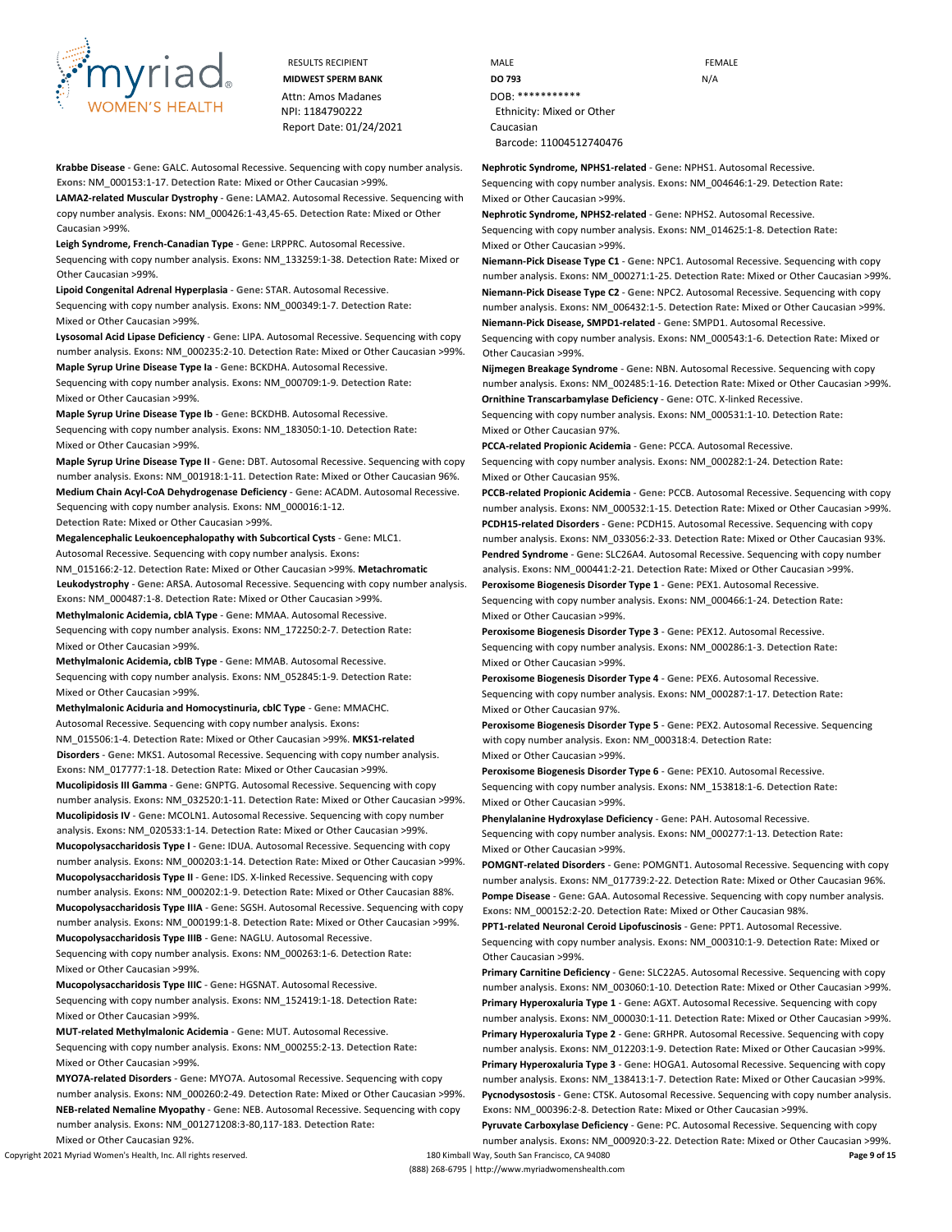

**Krabbe Disease** - **Gene:** GALC. Autosomal Recessive. Sequencing with copy number analysis. **Exons:** NM\_000153:1-17. **Detection Rate:** Mixed or Other Caucasian >99%.

**LAMA2-related Muscular Dystrophy** - **Gene:** LAMA2. Autosomal Recessive. Sequencing with copy number analysis. **Exons:** NM\_000426:1-43,45-65. **Detection Rate:** Mixed or Other Caucasian >99%.

**Leigh Syndrome, French-Canadian Type** - **Gene:** LRPPRC. Autosomal Recessive. Sequencing with copy number analysis. **Exons:** NM\_133259:1-38. **Detection Rate:** Mixed or Other Caucasian >99%.

**Lipoid Congenital Adrenal Hyperplasia** - **Gene:** STAR. Autosomal Recessive. Sequencing with copy number analysis. **Exons:** NM\_000349:1-7. **Detection Rate:** Mixed or Other Caucasian >99%.

**Lysosomal Acid Lipase Deficiency** - **Gene:** LIPA. Autosomal Recessive. Sequencing with copy number analysis. **Exons:** NM\_000235:2-10. **Detection Rate:** Mixed or Other Caucasian >99%. **Maple Syrup Urine Disease Type Ia** - **Gene:** BCKDHA. Autosomal Recessive.

Sequencing with copy number analysis. **Exons:** NM\_000709:1-9. **Detection Rate:** Mixed or Other Caucasian >99%.

**Maple Syrup Urine Disease Type Ib** - **Gene:** BCKDHB. Autosomal Recessive. Sequencing with copy number analysis. **Exons:** NM\_183050:1-10. **Detection Rate:** Mixed or Other Caucasian >99%.

**Maple Syrup Urine Disease Type II** - **Gene:** DBT. Autosomal Recessive. Sequencing with copy number analysis. **Exons:** NM\_001918:1-11. **Detection Rate:** Mixed or Other Caucasian 96%. **Medium Chain Acyl-CoA Dehydrogenase Deficiency** - **Gene:** ACADM. Autosomal Recessive. Sequencing with copy number analysis. **Exons:** NM\_000016:1-12. **Detection Rate:** Mixed or Other Caucasian >99%.

Mixed or Other Caucasian >99%.

**Megalencephalic Leukoencephalopathy with Subcortical Cysts** - **Gene:** MLC1.

Autosomal Recessive. Sequencing with copy number analysis. **Exons:** NM\_015166:2-12. **Detection Rate:** Mixed or Other Caucasian >99%. **Metachromatic Leukodystrophy** - **Gene:** ARSA. Autosomal Recessive. Sequencing with copy number analysis. **Exons:** NM\_000487:1-8. **Detection Rate:** Mixed or Other Caucasian >99%. **Methylmalonic Acidemia, cblA Type** - **Gene:** MMAA. Autosomal Recessive. Sequencing with copy number analysis. **Exons:** NM\_172250:2-7. **Detection Rate:**

**Methylmalonic Acidemia, cblB Type** - **Gene:** MMAB. Autosomal Recessive. Sequencing with copy number analysis. **Exons:** NM\_052845:1-9. **Detection Rate:** Mixed or Other Caucasian >99%.

**Methylmalonic Aciduria and Homocystinuria, cblC Type** - **Gene:** MMACHC. Autosomal Recessive. Sequencing with copy number analysis. **Exons:** NM\_015506:1-4. **Detection Rate:** Mixed or Other Caucasian >99%. **MKS1-related Disorders** - **Gene:** MKS1. Autosomal Recessive. Sequencing with copy number analysis. **Exons:** NM\_017777:1-18. **Detection Rate:** Mixed or Other Caucasian >99%.

**Mucolipidosis III Gamma** - **Gene:** GNPTG. Autosomal Recessive. Sequencing with copy number analysis. **Exons:** NM\_032520:1-11. **Detection Rate:** Mixed or Other Caucasian >99%. **Mucolipidosis IV** - **Gene:** MCOLN1. Autosomal Recessive. Sequencing with copy number analysis. **Exons:** NM\_020533:1-14. **Detection Rate:** Mixed or Other Caucasian >99%.

**Mucopolysaccharidosis Type I** - **Gene:** IDUA. Autosomal Recessive. Sequencing with copy number analysis. **Exons:** NM\_000203:1-14. **Detection Rate:** Mixed or Other Caucasian >99%. **Mucopolysaccharidosis Type II** - **Gene:** IDS. X-linked Recessive. Sequencing with copy number analysis. **Exons:** NM\_000202:1-9. **Detection Rate:** Mixed or Other Caucasian 88%. **Mucopolysaccharidosis Type IIIA** - **Gene:** SGSH. Autosomal Recessive. Sequencing with copy number analysis. **Exons:** NM\_000199:1-8. **Detection Rate:** Mixed or Other Caucasian >99%. **Mucopolysaccharidosis Type IIIB** - **Gene:** NAGLU. Autosomal Recessive.

Sequencing with copy number analysis. **Exons:** NM\_000263:1-6. **Detection Rate:** Mixed or Other Caucasian >99%.

**Mucopolysaccharidosis Type IIIC** - **Gene:** HGSNAT. Autosomal Recessive. Sequencing with copy number analysis. **Exons:** NM\_152419:1-18. **Detection Rate:** Mixed or Other Caucasian >99%.

**MUT-related Methylmalonic Acidemia** - **Gene:** MUT. Autosomal Recessive. Sequencing with copy number analysis. **Exons:** NM\_000255:2-13. **Detection Rate:** Mixed or Other Caucasian >99%.

**MYO7A-related Disorders** - **Gene:** MYO7A. Autosomal Recessive. Sequencing with copy number analysis. **Exons:** NM\_000260:2-49. **Detection Rate:** Mixed or Other Caucasian >99%. **NEB-related Nemaline Myopathy** - **Gene:** NEB. Autosomal Recessive. Sequencing with copy number analysis. **Exons:** NM\_001271208:3-80,117-183. **Detection Rate:** Mixed or Other Caucasian 92%.

RESULTS RECIPIENT **MALE** MALE **FEMALE MIDWEST SPERM BANK DO 793 DO 793** N/A NPI: 1184790222 Ethnicity: Mixed or Other Barcode: 11004512740476

**Nephrotic Syndrome, NPHS1-related** - **Gene:** NPHS1. Autosomal Recessive.

Sequencing with copy number analysis. **Exons:** NM\_004646:1-29. **Detection Rate:** Mixed or Other Caucasian >99%.

**Nephrotic Syndrome, NPHS2-related** - **Gene:** NPHS2. Autosomal Recessive. Sequencing with copy number analysis. **Exons:** NM\_014625:1-8. **Detection Rate:** Mixed or Other Caucasian >99%.

**Niemann-Pick Disease Type C1** - **Gene:** NPC1. Autosomal Recessive. Sequencing with copy number analysis. **Exons:** NM\_000271:1-25. **Detection Rate:** Mixed or Other Caucasian >99%. **Niemann-Pick Disease Type C2** - **Gene:** NPC2. Autosomal Recessive. Sequencing with copy number analysis. **Exons:** NM\_006432:1-5. **Detection Rate:** Mixed or Other Caucasian >99%. **Niemann-Pick Disease, SMPD1-related** - **Gene:** SMPD1. Autosomal Recessive.

Sequencing with copy number analysis. **Exons:** NM\_000543:1-6. **Detection Rate:** Mixed or Other Caucasian >99%.

**Nijmegen Breakage Syndrome** - **Gene:** NBN. Autosomal Recessive. Sequencing with copy number analysis. **Exons:** NM\_002485:1-16. **Detection Rate:** Mixed or Other Caucasian >99%. **Ornithine Transcarbamylase Deficiency** - **Gene:** OTC. X-linked Recessive.

Sequencing with copy number analysis. **Exons:** NM\_000531:1-10. **Detection Rate:** Mixed or Other Caucasian 97%.

**PCCA-related Propionic Acidemia** - **Gene:** PCCA. Autosomal Recessive. Sequencing with copy number analysis. **Exons:** NM\_000282:1-24. **Detection Rate:** Mixed or Other Caucasian 95%.

**PCCB-related Propionic Acidemia** - **Gene:** PCCB. Autosomal Recessive. Sequencing with copy number analysis. **Exons:** NM\_000532:1-15. **Detection Rate:** Mixed or Other Caucasian >99%. **PCDH15-related Disorders** - **Gene:** PCDH15. Autosomal Recessive. Sequencing with copy number analysis. **Exons:** NM\_033056:2-33. **Detection Rate:** Mixed or Other Caucasian 93%. **Pendred Syndrome** - **Gene:** SLC26A4. Autosomal Recessive. Sequencing with copy number analysis. **Exons:** NM\_000441:2-21. **Detection Rate:** Mixed or Other Caucasian >99%.

**Peroxisome Biogenesis Disorder Type 1** - **Gene:** PEX1. Autosomal Recessive.

Sequencing with copy number analysis. **Exons:** NM\_000466:1-24. **Detection Rate:** Mixed or Other Caucasian >99%.

**Peroxisome Biogenesis Disorder Type 3** - **Gene:** PEX12. Autosomal Recessive. Sequencing with copy number analysis. **Exons:** NM\_000286:1-3. **Detection Rate:** Mixed or Other Caucasian >99%.

**Peroxisome Biogenesis Disorder Type 4** - **Gene:** PEX6. Autosomal Recessive. Sequencing with copy number analysis. **Exons:** NM\_000287:1-17. **Detection Rate:** Mixed or Other Caucasian 97%.

**Peroxisome Biogenesis Disorder Type 5** - **Gene:** PEX2. Autosomal Recessive. Sequencing with copy number analysis. **Exon:** NM\_000318:4. **Detection Rate:** Mixed or Other Caucasian >99%.

**Peroxisome Biogenesis Disorder Type 6** - **Gene:** PEX10. Autosomal Recessive. Sequencing with copy number analysis. **Exons:** NM\_153818:1-6. **Detection Rate:** Mixed or Other Caucasian >99%.

**Phenylalanine Hydroxylase Deficiency** - **Gene:** PAH. Autosomal Recessive. Sequencing with copy number analysis. **Exons:** NM\_000277:1-13. **Detection Rate:** Mixed or Other Caucasian >99%.

**POMGNT-related Disorders** - **Gene:** POMGNT1. Autosomal Recessive. Sequencing with copy number analysis. **Exons:** NM\_017739:2-22. **Detection Rate:** Mixed or Other Caucasian 96%. **Pompe Disease** - **Gene:** GAA. Autosomal Recessive. Sequencing with copy number analysis. **Exons:** NM\_000152:2-20. **Detection Rate:** Mixed or Other Caucasian 98%.

**PPT1-related Neuronal Ceroid Lipofuscinosis** - **Gene:** PPT1. Autosomal Recessive.

Sequencing with copy number analysis. **Exons:** NM\_000310:1-9. **Detection Rate:** Mixed or Other Caucasian >99%.

**Primary Carnitine Deficiency** - **Gene:** SLC22A5. Autosomal Recessive. Sequencing with copy number analysis. **Exons:** NM\_003060:1-10. **Detection Rate:** Mixed or Other Caucasian >99%. **Primary Hyperoxaluria Type 1** - **Gene:** AGXT. Autosomal Recessive. Sequencing with copy number analysis. **Exons:** NM\_000030:1-11. **Detection Rate:** Mixed or Other Caucasian >99%. **Primary Hyperoxaluria Type 2** - **Gene:** GRHPR. Autosomal Recessive. Sequencing with copy number analysis. **Exons:** NM\_012203:1-9. **Detection Rate:** Mixed or Other Caucasian >99%. **Primary Hyperoxaluria Type 3** - **Gene:** HOGA1. Autosomal Recessive. Sequencing with copy number analysis. **Exons:** NM\_138413:1-7. **Detection Rate:** Mixed or Other Caucasian >99%. **Pycnodysostosis** - **Gene:** CTSK. Autosomal Recessive. Sequencing with copy number analysis. **Exons:** NM\_000396:2-8. **Detection Rate:** Mixed or Other Caucasian >99%.

**Pyruvate Carboxylase Deficiency** - **Gene:** PC. Autosomal Recessive. Sequencing with copy number analysis. **Exons:** NM\_000920:3-22. **Detection Rate:** Mixed or Other Caucasian >99%.

Copyright 2021 Myriad Women's Health, Inc. All rights reserved. 180 Kimball Way, South San Francisco, CA 94080 **Page 9 of 15** (888) 268-6795 | http://www.myriadwomenshealth.com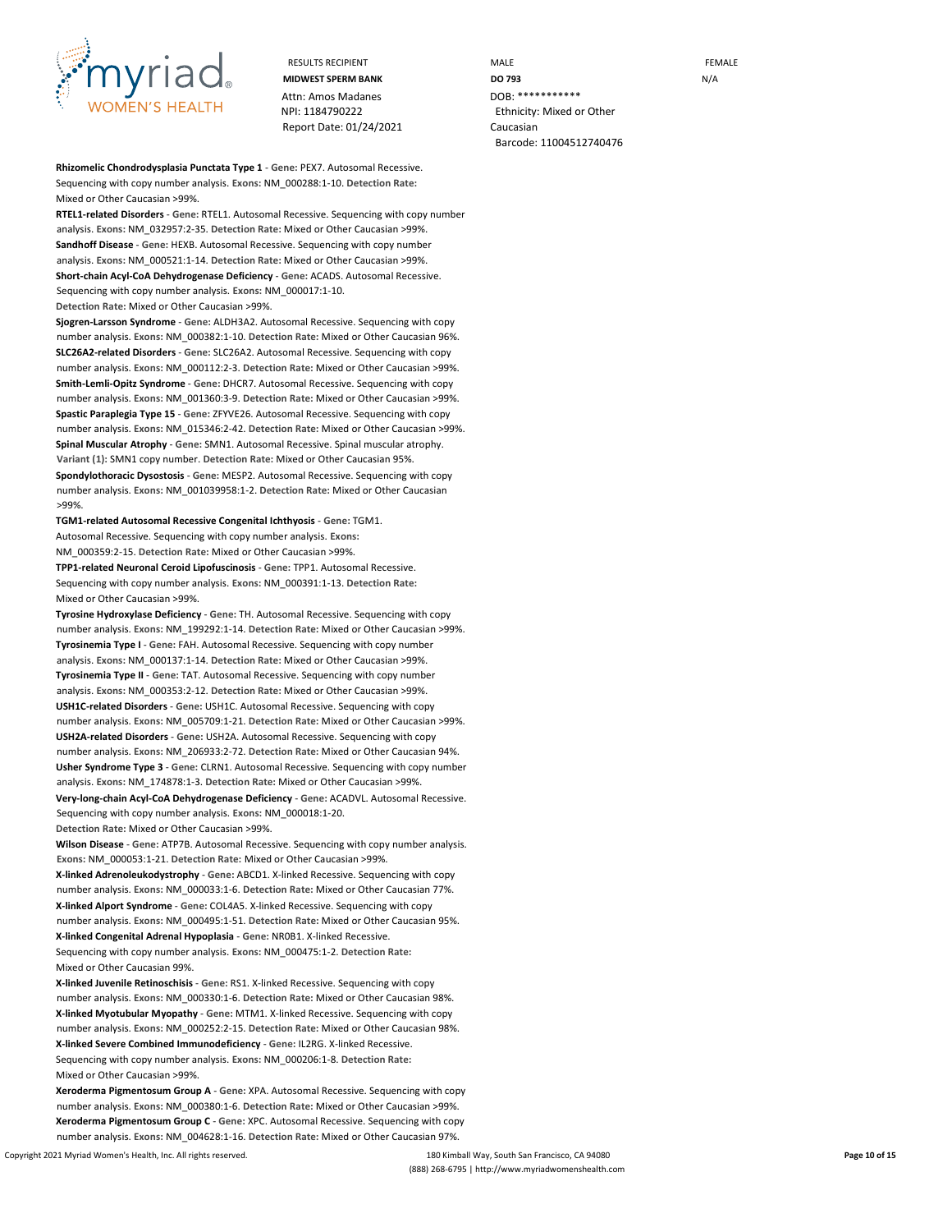

Attn: Amos Madanes **DOB: \*\*\*\*\*\*\*\*\*\*\*** NPI: 1184790222 Ethnicity: Mixed or Other Report Date: 01/24/2021 Caucasian

**Rhizomelic Chondrodysplasia Punctata Type 1** - **Gene:** PEX7. Autosomal Recessive. Sequencing with copy number analysis. **Exons:** NM\_000288:1-10. **Detection Rate:** Mixed or Other Caucasian >99%.

**RTEL1-related Disorders** - **Gene:** RTEL1. Autosomal Recessive. Sequencing with copy number analysis. **Exons:** NM\_032957:2-35. **Detection Rate:** Mixed or Other Caucasian >99%. **Sandhoff Disease** - **Gene:** HEXB. Autosomal Recessive. Sequencing with copy number analysis. **Exons:** NM\_000521:1-14. **Detection Rate:** Mixed or Other Caucasian >99%. **Short-chain Acyl-CoA Dehydrogenase Deficiency** - **Gene:** ACADS. Autosomal Recessive. Sequencing with copy number analysis. **Exons:** NM\_000017:1-10.

**Detection Rate:** Mixed or Other Caucasian >99%.

**Sjogren-Larsson Syndrome** - **Gene:** ALDH3A2. Autosomal Recessive. Sequencing with copy number analysis. **Exons:** NM\_000382:1-10. **Detection Rate:** Mixed or Other Caucasian 96%. **SLC26A2-related Disorders** - **Gene:** SLC26A2. Autosomal Recessive. Sequencing with copy number analysis. **Exons:** NM\_000112:2-3. **Detection Rate:** Mixed or Other Caucasian >99%. **Smith-Lemli-Opitz Syndrome** - **Gene:** DHCR7. Autosomal Recessive. Sequencing with copy number analysis. **Exons:** NM\_001360:3-9. **Detection Rate:** Mixed or Other Caucasian >99%. **Spastic Paraplegia Type 15** - **Gene:** ZFYVE26. Autosomal Recessive. Sequencing with copy number analysis. **Exons:** NM\_015346:2-42. **Detection Rate:** Mixed or Other Caucasian >99%. **Spinal Muscular Atrophy** - **Gene:** SMN1. Autosomal Recessive. Spinal muscular atrophy. **Variant (1):** SMN1 copy number. **Detection Rate:** Mixed or Other Caucasian 95%. **Spondylothoracic Dysostosis** - **Gene:** MESP2. Autosomal Recessive. Sequencing with copy number analysis. **Exons:** NM\_001039958:1-2. **Detection Rate:** Mixed or Other Caucasian >99%.

**TGM1-related Autosomal Recessive Congenital Ichthyosis** - **Gene:** TGM1. Autosomal Recessive. Sequencing with copy number analysis. **Exons:** NM\_000359:2-15. **Detection Rate:** Mixed or Other Caucasian >99%.

**TPP1-related Neuronal Ceroid Lipofuscinosis** - **Gene:** TPP1. Autosomal Recessive. Sequencing with copy number analysis. **Exons:** NM\_000391:1-13. **Detection Rate:** Mixed or Other Caucasian >99%.

**Tyrosine Hydroxylase Deficiency** - **Gene:** TH. Autosomal Recessive. Sequencing with copy number analysis. **Exons:** NM\_199292:1-14. **Detection Rate:** Mixed or Other Caucasian >99%. **Tyrosinemia Type I** - **Gene:** FAH. Autosomal Recessive. Sequencing with copy number analysis. **Exons:** NM\_000137:1-14. **Detection Rate:** Mixed or Other Caucasian >99%. **Tyrosinemia Type II** - **Gene:** TAT. Autosomal Recessive. Sequencing with copy number analysis. **Exons:** NM\_000353:2-12. **Detection Rate:** Mixed or Other Caucasian >99%. **USH1C-related Disorders** - **Gene:** USH1C. Autosomal Recessive. Sequencing with copy number analysis. **Exons:** NM\_005709:1-21. **Detection Rate:** Mixed or Other Caucasian >99%. **USH2A-related Disorders** - **Gene:** USH2A. Autosomal Recessive. Sequencing with copy number analysis. **Exons:** NM\_206933:2-72. **Detection Rate:** Mixed or Other Caucasian 94%. **Usher Syndrome Type 3** - **Gene:** CLRN1. Autosomal Recessive. Sequencing with copy number analysis. **Exons:** NM\_174878:1-3. **Detection Rate:** Mixed or Other Caucasian >99%. **Very-long-chain Acyl-CoA Dehydrogenase Deficiency** - **Gene:** ACADVL. Autosomal Recessive. Sequencing with copy number analysis. **Exons:** NM\_000018:1-20.

**Detection Rate:** Mixed or Other Caucasian >99%.

**Wilson Disease** - **Gene:** ATP7B. Autosomal Recessive. Sequencing with copy number analysis. **Exons:** NM\_000053:1-21. **Detection Rate:** Mixed or Other Caucasian >99%.

**X-linked Adrenoleukodystrophy** - **Gene:** ABCD1. X-linked Recessive. Sequencing with copy number analysis. **Exons:** NM\_000033:1-6. **Detection Rate:** Mixed or Other Caucasian 77%. **X-linked Alport Syndrome** - **Gene:** COL4A5. X-linked Recessive. Sequencing with copy number analysis. **Exons:** NM\_000495:1-51. **Detection Rate:** Mixed or Other Caucasian 95%. **X-linked Congenital Adrenal Hypoplasia** - **Gene:** NR0B1. X-linked Recessive.

Sequencing with copy number analysis. **Exons:** NM\_000475:1-2. **Detection Rate:** Mixed or Other Caucasian 99%.

**X-linked Juvenile Retinoschisis** - **Gene:** RS1. X-linked Recessive. Sequencing with copy number analysis. **Exons:** NM\_000330:1-6. **Detection Rate:** Mixed or Other Caucasian 98%. **X-linked Myotubular Myopathy** - **Gene:** MTM1. X-linked Recessive. Sequencing with copy number analysis. **Exons:** NM\_000252:2-15. **Detection Rate:** Mixed or Other Caucasian 98%. **X-linked Severe Combined Immunodeficiency** - **Gene:** IL2RG. X-linked Recessive. Sequencing with copy number analysis. **Exons:** NM\_000206:1-8. **Detection Rate:** Mixed or Other Caucasian >99%.

**Xeroderma Pigmentosum Group A** - **Gene:** XPA. Autosomal Recessive. Sequencing with copy number analysis. **Exons:** NM\_000380:1-6. **Detection Rate:** Mixed or Other Caucasian >99%. **Xeroderma Pigmentosum Group C** - **Gene:** XPC. Autosomal Recessive. Sequencing with copy number analysis. **Exons:** NM\_004628:1-16. **Detection Rate:** Mixed or Other Caucasian 97%.

RESULTS RECIPIENT **MALE MALE EXAMPLE MIDWEST SPERM BANK DO 793 DO 793** N/A Barcode: 11004512740476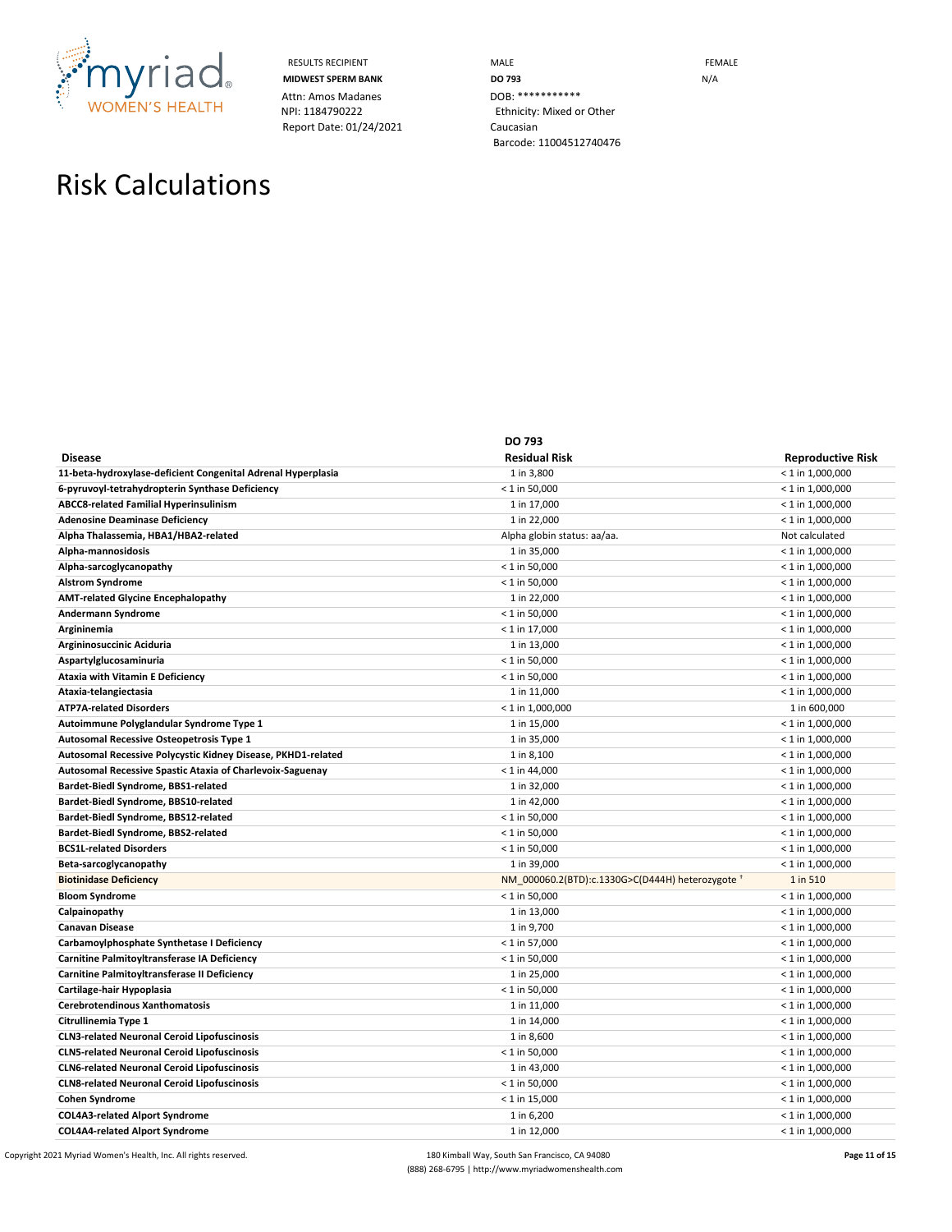

Attn: Amos Madanes<br>
NPI: 1184790222<br>
Ethnicity: Mixed o Report Date: 01/24/2021 Caucasian

RESULTS RECIPIENT **MALE MALE MIDWEST SPERM BANK DO 793 DO 793** N/A Ethnicity: Mixed or Other Barcode: 11004512740476

# Risk Calculations

|                                                              | <b>DO 793</b>                                    |                          |
|--------------------------------------------------------------|--------------------------------------------------|--------------------------|
| <b>Disease</b>                                               | <b>Residual Risk</b>                             | <b>Reproductive Risk</b> |
| 11-beta-hydroxylase-deficient Congenital Adrenal Hyperplasia | 1 in 3,800                                       | $< 1$ in 1,000,000       |
| 6-pyruvoyl-tetrahydropterin Synthase Deficiency              | $< 1$ in 50,000                                  | $<$ 1 in 1,000,000       |
| ABCC8-related Familial Hyperinsulinism                       | 1 in 17,000                                      | $<$ 1 in 1,000,000       |
| <b>Adenosine Deaminase Deficiency</b>                        | 1 in 22,000                                      | $< 1$ in 1,000,000       |
| Alpha Thalassemia, HBA1/HBA2-related                         | Alpha globin status: aa/aa.                      | Not calculated           |
| Alpha-mannosidosis                                           | 1 in 35,000                                      | $< 1$ in 1,000,000       |
| Alpha-sarcoglycanopathy                                      | $< 1$ in 50,000                                  | $< 1$ in 1,000,000       |
| <b>Alstrom Syndrome</b>                                      | $<$ 1 in 50,000                                  | $< 1$ in 1,000,000       |
| <b>AMT-related Glycine Encephalopathy</b>                    | 1 in 22,000                                      | $<$ 1 in 1,000,000       |
| Andermann Syndrome                                           | $< 1$ in 50,000                                  | $< 1$ in 1,000,000       |
| Argininemia                                                  | $< 1$ in 17,000                                  | $<$ 1 in 1,000,000       |
| Argininosuccinic Aciduria                                    | 1 in 13,000                                      | $<$ 1 in 1,000,000       |
| Aspartylglucosaminuria                                       | $< 1$ in 50,000                                  | $< 1$ in 1,000,000       |
| Ataxia with Vitamin E Deficiency                             | $< 1$ in 50,000                                  | $< 1$ in 1,000,000       |
| Ataxia-telangiectasia                                        | 1 in 11,000                                      | $< 1$ in 1,000,000       |
| <b>ATP7A-related Disorders</b>                               | $< 1$ in 1,000,000                               | 1 in 600,000             |
| Autoimmune Polyglandular Syndrome Type 1                     | 1 in 15,000                                      | $< 1$ in 1,000,000       |
| Autosomal Recessive Osteopetrosis Type 1                     | 1 in 35,000                                      | $< 1$ in 1,000,000       |
| Autosomal Recessive Polycystic Kidney Disease, PKHD1-related | 1 in 8,100                                       | $< 1$ in 1,000,000       |
| Autosomal Recessive Spastic Ataxia of Charlevoix-Saguenay    | $< 1$ in 44,000                                  | $< 1$ in 1,000,000       |
| Bardet-Biedl Syndrome, BBS1-related                          | 1 in 32,000                                      | $< 1$ in 1,000,000       |
| Bardet-Biedl Syndrome, BBS10-related                         | 1 in 42,000                                      | $<$ 1 in 1,000,000       |
| Bardet-Biedl Syndrome, BBS12-related                         | $< 1$ in 50,000                                  | $<$ 1 in 1,000,000       |
| Bardet-Biedl Syndrome, BBS2-related                          | $<$ 1 in 50,000                                  | $<$ 1 in 1,000,000       |
| <b>BCS1L-related Disorders</b>                               | $< 1$ in 50,000                                  | $<$ 1 in 1,000,000       |
| Beta-sarcoglycanopathy                                       | 1 in 39,000                                      | $< 1$ in 1,000,000       |
| <b>Biotinidase Deficiency</b>                                | NM 000060.2(BTD):c.1330G>C(D444H) heterozygote + | 1 in 510                 |
| <b>Bloom Syndrome</b>                                        | $< 1$ in 50,000                                  | $< 1$ in 1,000,000       |
| Calpainopathy                                                | 1 in 13,000                                      | $<$ 1 in 1,000,000       |
| <b>Canavan Disease</b>                                       | 1 in 9,700                                       | $< 1$ in 1,000,000       |
| Carbamoylphosphate Synthetase I Deficiency                   | $< 1$ in 57,000                                  | $< 1$ in 1,000,000       |
| Carnitine Palmitoyltransferase IA Deficiency                 | $< 1$ in 50,000                                  | $<$ 1 in 1,000,000       |
| Carnitine Palmitoyltransferase II Deficiency                 | 1 in 25,000                                      | $< 1$ in 1,000,000       |
| Cartilage-hair Hypoplasia                                    | $< 1$ in 50,000                                  | $<$ 1 in 1,000,000       |
| Cerebrotendinous Xanthomatosis                               | 1 in 11,000                                      | $<$ 1 in 1,000,000       |
| Citrullinemia Type 1                                         | 1 in 14,000                                      | $< 1$ in 1,000,000       |
| <b>CLN3-related Neuronal Ceroid Lipofuscinosis</b>           | 1 in 8,600                                       | $< 1$ in 1,000,000       |
| <b>CLN5-related Neuronal Ceroid Lipofuscinosis</b>           | $< 1$ in 50,000                                  | $< 1$ in 1,000,000       |
| <b>CLN6-related Neuronal Ceroid Lipofuscinosis</b>           | 1 in 43,000                                      | $< 1$ in 1,000,000       |
| <b>CLN8-related Neuronal Ceroid Lipofuscinosis</b>           | $< 1$ in 50,000                                  | $< 1$ in 1,000,000       |
| <b>Cohen Syndrome</b>                                        | $< 1$ in 15,000                                  | $< 1$ in 1,000,000       |
| <b>COL4A3-related Alport Syndrome</b>                        | 1 in 6,200                                       | $< 1$ in 1,000,000       |
| <b>COL4A4-related Alport Syndrome</b>                        | 1 in 12,000                                      | $< 1$ in 1,000,000       |

Copyright 2021 Myriad Women's Health, Inc. All rights reserved. **180** Kimball Way, South San Francisco, CA 94080 **Page 11 of 15 Page 11 of 15** (888) 268-6795 | http://www.myriadwomenshealth.com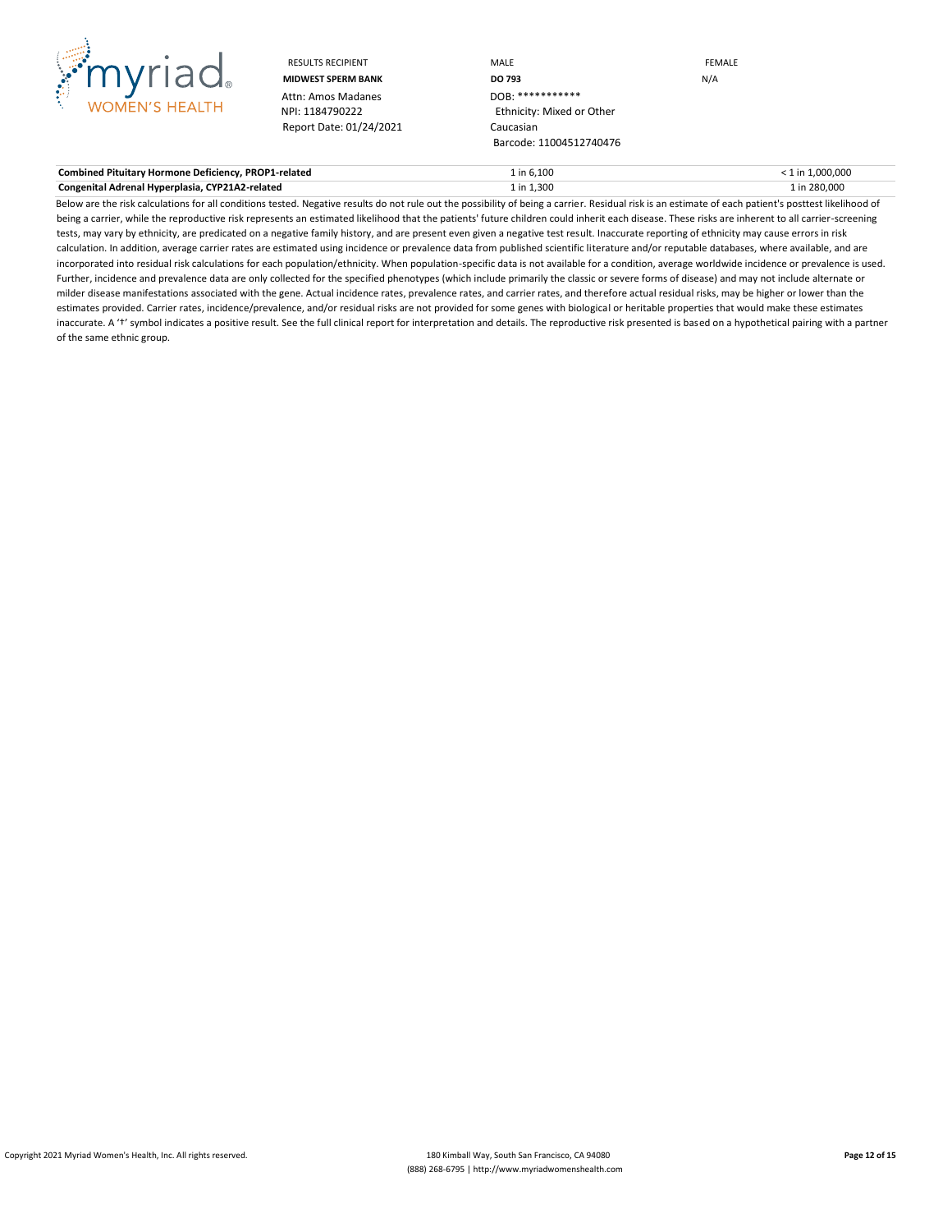

Attn: Amos Madanes<br>NPI: 1184790222 Report Date: 01/24/2021 Caucasian

RESULTS RECIPIENT **MALE MALE EXAMPLE MIDWEST SPERM BANK DO 793** N/A Ethnicity: Mixed or Other Barcode: 11004512740476

| <b>Combined Pituitary Hormone Deficiency, PROP1-related</b> | $:$ in 6.100 | in 1.000.000 |
|-------------------------------------------------------------|--------------|--------------|
| Congenital Adrenal Hyperplasia, CYP21A2-related             | l in 1.300   | in 280.000   |

Below are the risk calculations for all conditions tested. Negative results do not rule out the possibility of being a carrier. Residual risk is an estimate of each patient's posttest likelihood of being a carrier, while the reproductive risk represents an estimated likelihood that the patients' future children could inherit each disease. These risks are inherent to all carrier-screening tests, may vary by ethnicity, are predicated on a negative family history, and are present even given a negative test result. Inaccurate reporting of ethnicity may cause errors in risk calculation. In addition, average carrier rates are estimated using incidence or prevalence data from published scientific literature and/or reputable databases, where available, and are incorporated into residual risk calculations for each population/ethnicity. When population-specific data is not available for a condition, average worldwide incidence or prevalence is used. Further, incidence and prevalence data are only collected for the specified phenotypes (which include primarily the classic or severe forms of disease) and may not include alternate or milder disease manifestations associated with the gene. Actual incidence rates, prevalence rates, and carrier rates, and therefore actual residual risks, may be higher or lower than the estimates provided. Carrier rates, incidence/prevalence, and/or residual risks are not provided for some genes with biological or heritable properties that would make these estimates inaccurate. A 't' symbol indicates a positive result. See the full clinical report for interpretation and details. The reproductive risk presented is based on a hypothetical pairing with a partner of the same ethnic group.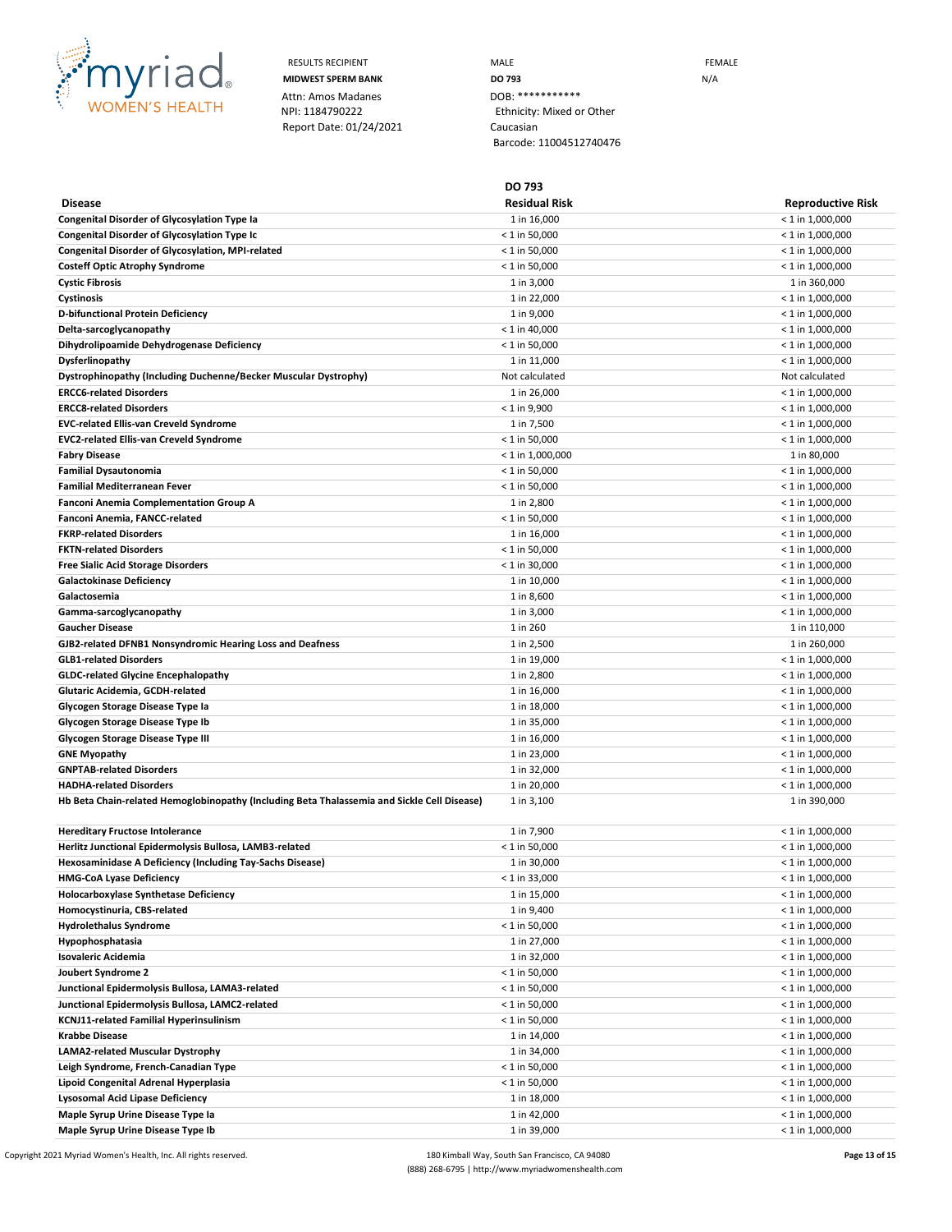

RESULTS RECIPIENT **MALE MALE EXAMPLE MIDWEST SPERM BANK DO 793 DO 793** N/A Ethnicity: Mixed or Other Barcode: 11004512740476

**DO 793**

| <b>Disease</b>                                                                              | <b>Residual Risk</b> | <b>Reproductive Risk</b> |
|---------------------------------------------------------------------------------------------|----------------------|--------------------------|
| <b>Congenital Disorder of Glycosylation Type Ia</b>                                         | 1 in 16,000          | $<$ 1 in 1,000,000       |
| <b>Congenital Disorder of Glycosylation Type Ic</b>                                         | $< 1$ in 50,000      | $< 1$ in 1,000,000       |
| Congenital Disorder of Glycosylation, MPI-related                                           | $< 1$ in 50,000      | $< 1$ in 1,000,000       |
| <b>Costeff Optic Atrophy Syndrome</b>                                                       | $< 1$ in 50,000      | $<$ 1 in 1,000,000       |
| <b>Cystic Fibrosis</b>                                                                      | 1 in 3,000           | 1 in 360,000             |
| Cystinosis                                                                                  | 1 in 22,000          | $<$ 1 in 1,000,000       |
| D-bifunctional Protein Deficiency                                                           | 1 in 9,000           | $<$ 1 in 1,000,000       |
| Delta-sarcoglycanopathy                                                                     | $< 1$ in 40,000      | $<$ 1 in 1,000,000       |
| Dihydrolipoamide Dehydrogenase Deficiency                                                   | $< 1$ in 50,000      | $<$ 1 in 1,000,000       |
| Dysferlinopathy                                                                             | 1 in 11,000          | $<$ 1 in 1,000,000       |
| Dystrophinopathy (Including Duchenne/Becker Muscular Dystrophy)                             | Not calculated       | Not calculated           |
| <b>ERCC6-related Disorders</b>                                                              | 1 in 26,000          | $<$ 1 in 1,000,000       |
| <b>ERCC8-related Disorders</b>                                                              | < 1 in 9,900         | $<$ 1 in 1,000,000       |
| <b>EVC-related Ellis-van Creveld Syndrome</b>                                               | 1 in 7,500           | $<$ 1 in 1,000,000       |
| EVC2-related Ellis-van Creveld Syndrome                                                     | $< 1$ in 50,000      |                          |
|                                                                                             |                      | $<$ 1 in 1,000,000       |
| Fabry Disease                                                                               | $< 1$ in 1,000,000   | 1 in 80,000              |
| <b>Familial Dysautonomia</b>                                                                | $< 1$ in 50,000      | $<$ 1 in 1,000,000       |
| Familial Mediterranean Fever                                                                | < 1 in 50,000        | < 1 in 1,000,000         |
| <b>Fanconi Anemia Complementation Group A</b>                                               | 1 in 2,800           | $<$ 1 in 1,000,000       |
| Fanconi Anemia, FANCC-related                                                               | $< 1$ in 50,000      | $<$ 1 in 1,000,000       |
| <b>FKRP-related Disorders</b>                                                               | 1 in 16,000          | $<$ 1 in 1,000,000       |
| <b>FKTN-related Disorders</b>                                                               | $< 1$ in 50,000      | $<$ 1 in 1,000,000       |
| Free Sialic Acid Storage Disorders                                                          | $< 1$ in 30,000      | $<$ 1 in 1,000,000       |
| Galactokinase Deficiency                                                                    | 1 in 10,000          | < 1 in 1,000,000         |
| Galactosemia                                                                                | 1 in 8,600           | $<$ 1 in 1,000,000       |
| Gamma-sarcoglycanopathy                                                                     | 1 in 3,000           | $< 1$ in 1,000,000       |
| <b>Gaucher Disease</b>                                                                      | 1 in 260             | 1 in 110,000             |
| GJB2-related DFNB1 Nonsyndromic Hearing Loss and Deafness                                   | 1 in 2,500           | 1 in 260,000             |
| <b>GLB1-related Disorders</b>                                                               | 1 in 19,000          | $<$ 1 in 1,000,000       |
| <b>GLDC-related Glycine Encephalopathy</b>                                                  | 1 in 2,800           | $<$ 1 in 1,000,000       |
| Glutaric Acidemia, GCDH-related                                                             | 1 in 16,000          | $<$ 1 in 1,000,000       |
| Glycogen Storage Disease Type Ia                                                            | 1 in 18,000          | $<$ 1 in 1,000,000       |
| Glycogen Storage Disease Type Ib                                                            | 1 in 35,000          | $<$ 1 in 1,000,000       |
| <b>Glycogen Storage Disease Type III</b>                                                    | 1 in 16,000          | $<$ 1 in 1,000,000       |
| GNE Myopathy                                                                                | 1 in 23,000          | $<$ 1 in 1,000,000       |
| <b>GNPTAB-related Disorders</b>                                                             | 1 in 32,000          | $<$ 1 in 1,000,000       |
| <b>HADHA-related Disorders</b>                                                              | 1 in 20,000          | < 1 in 1,000,000         |
| Hb Beta Chain-related Hemoglobinopathy (Including Beta Thalassemia and Sickle Cell Disease) | 1 in 3,100           | 1 in 390,000             |
|                                                                                             |                      |                          |
| <b>Hereditary Fructose Intolerance</b>                                                      | 1 in 7,900           | < 1 in 1,000,000         |
| Herlitz Junctional Epidermolysis Bullosa, LAMB3-related                                     | $<$ 1 in 50,000      | $< 1$ in 1,000,000       |
| Hexosaminidase A Deficiency (Including Tay-Sachs Disease)                                   | 1 in 30,000          | $<$ 1 in 1,000,000       |
| HMG-CoA Lyase Deficiency                                                                    | $< 1$ in 33,000      | $<$ 1 in 1,000,000       |
| Holocarboxylase Synthetase Deficiency                                                       | 1 in 15,000          | $< 1$ in 1,000,000       |
| Homocystinuria, CBS-related                                                                 | 1 in 9,400           | $< 1$ in 1,000,000       |
| <b>Hydrolethalus Syndrome</b>                                                               | $< 1$ in 50,000      | $< 1$ in 1,000,000       |
| Hypophosphatasia                                                                            | 1 in 27,000          | $<$ 1 in 1,000,000       |
|                                                                                             |                      |                          |
| Isovaleric Acidemia                                                                         | 1 in 32,000          | $<$ 1 in 1,000,000       |
| Joubert Syndrome 2                                                                          | $< 1$ in 50,000      | $< 1$ in 1,000,000       |
| Junctional Epidermolysis Bullosa, LAMA3-related                                             | $< 1$ in 50,000      | $<$ 1 in 1,000,000       |
| Junctional Epidermolysis Bullosa, LAMC2-related                                             | $< 1$ in 50,000      | $<$ 1 in 1,000,000       |
| KCNJ11-related Familial Hyperinsulinism                                                     | $< 1$ in 50,000      | < 1 in 1,000,000         |
| Krabbe Disease                                                                              | 1 in 14,000          | < 1 in 1,000,000         |
| LAMA2-related Muscular Dystrophy                                                            | 1 in 34,000          | $<$ 1 in 1,000,000       |
| Leigh Syndrome, French-Canadian Type                                                        | $< 1$ in 50,000      | < 1 in 1,000,000         |
| Lipoid Congenital Adrenal Hyperplasia                                                       | < 1 in 50,000        | $<$ 1 in 1,000,000       |
| Lysosomal Acid Lipase Deficiency                                                            | 1 in 18,000          | $<$ 1 in 1,000,000       |
| Maple Syrup Urine Disease Type Ia                                                           | 1 in 42,000          | $<$ 1 in 1,000,000       |
| Maple Syrup Urine Disease Type Ib                                                           | 1 in 39,000          | $< 1$ in 1,000,000       |

Copyright 2021 Myriad Women's Health, Inc. All rights reserved. 180 Kimball Way, South San Francisco, CA 94080 **Page 13 of 15** Page 13 of 15 (888) 268-6795 | http://www.myriadwomenshealth.com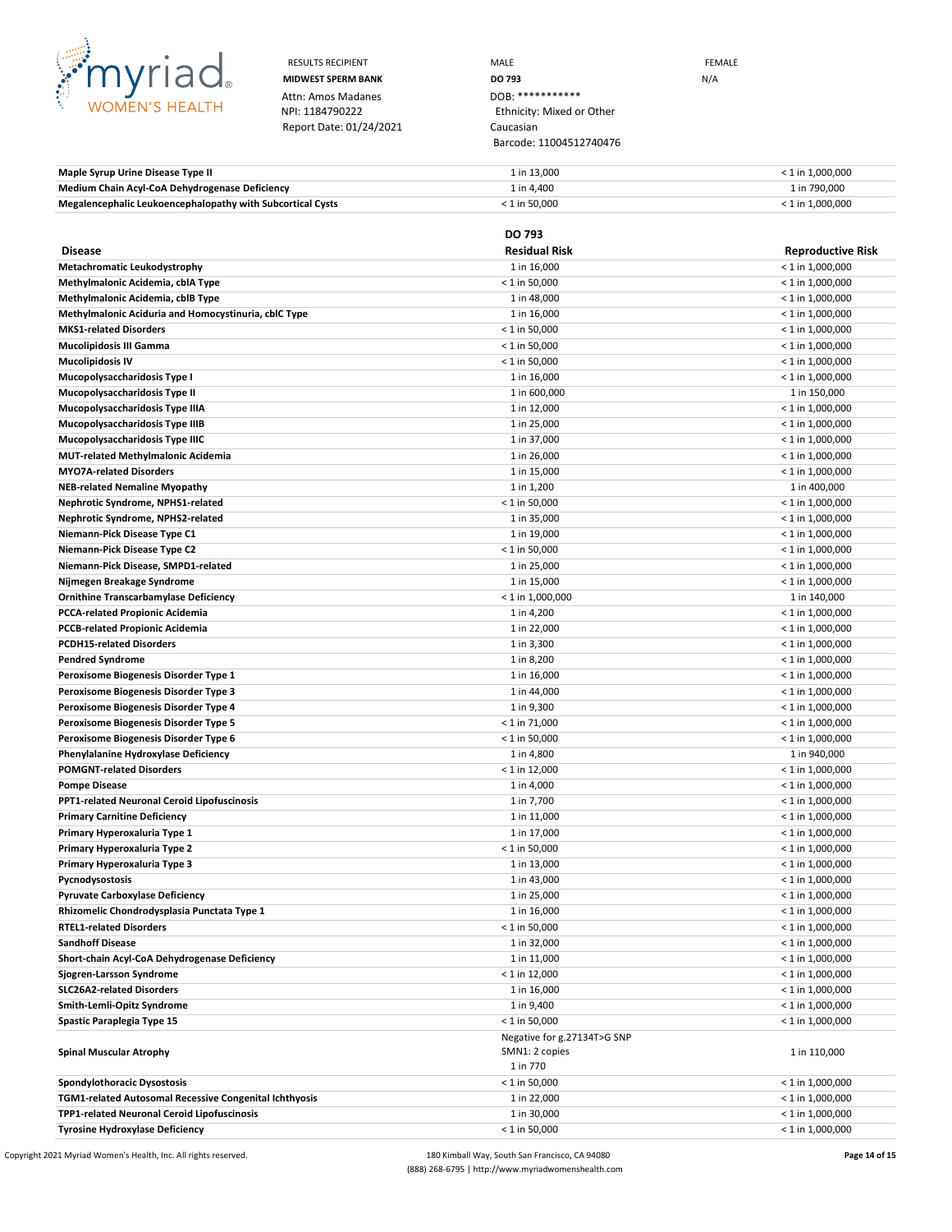

RESULTS RECIPIENT **MALE MALE EXAMPLE MIDWEST SPERM BANK DO 793 DO 793** N/A Ethnicity: Mixed or Other Barcode: 11004512740476

| Maple Syrup Urine Disease Type II                          | 1 in 13.000     | $<$ 1 in 1.000.000 |
|------------------------------------------------------------|-----------------|--------------------|
| Medium Chain Acyl-CoA Dehydrogenase Deficiency             | 1 in 4.400      | 1 in 790.000       |
| Megalencephalic Leukoencephalopathy with Subcortical Cysts | $<$ 1 in 50.000 | $<$ 1 in 1.000.000 |

|                                                              | <b>DO 793</b>                                  |                                          |
|--------------------------------------------------------------|------------------------------------------------|------------------------------------------|
| <b>Disease</b>                                               | <b>Residual Risk</b>                           | <b>Reproductive Risk</b>                 |
| Metachromatic Leukodystrophy                                 | 1 in 16,000                                    | $< 1$ in 1,000,000                       |
| Methylmalonic Acidemia, cblA Type                            | $< 1$ in 50,000                                | $<$ 1 in 1,000,000                       |
| Methylmalonic Acidemia, cblB Type                            | 1 in 48,000                                    | $<$ 1 in 1,000,000                       |
| Methylmalonic Aciduria and Homocystinuria, cblC Type         | 1 in 16,000                                    | $<$ 1 in 1,000,000                       |
| <b>MKS1-related Disorders</b>                                | $< 1$ in 50,000                                | $<$ 1 in 1,000,000                       |
| <b>Mucolipidosis III Gamma</b>                               | $< 1$ in 50,000                                | $<$ 1 in 1,000,000                       |
| <b>Mucolipidosis IV</b>                                      | $< 1$ in 50,000                                | $<$ 1 in 1,000,000                       |
| Mucopolysaccharidosis Type I                                 | 1 in 16,000                                    | $<$ 1 in 1,000,000                       |
| Mucopolysaccharidosis Type II                                | 1 in 600,000                                   | 1 in 150,000                             |
| Mucopolysaccharidosis Type IIIA                              | 1 in 12,000                                    | $<$ 1 in 1,000,000                       |
| Mucopolysaccharidosis Type IIIB                              | 1 in 25,000                                    | $<$ 1 in 1,000,000                       |
| Mucopolysaccharidosis Type IIIC                              | 1 in 37,000                                    | $<$ 1 in 1,000,000                       |
| <b>MUT-related Methylmalonic Acidemia</b>                    | 1 in 26,000                                    | $<$ 1 in 1,000,000                       |
| <b>MYO7A-related Disorders</b>                               | 1 in 15,000                                    | $<$ 1 in 1,000,000                       |
| <b>NEB-related Nemaline Myopathy</b>                         | 1 in 1,200                                     | 1 in 400,000                             |
| Nephrotic Syndrome, NPHS1-related                            | $< 1$ in 50,000                                | $<$ 1 in 1,000,000                       |
| Nephrotic Syndrome, NPHS2-related                            | 1 in 35,000                                    | $<$ 1 in 1,000,000                       |
| Niemann-Pick Disease Type C1                                 | 1 in 19,000                                    | $<$ 1 in 1,000,000                       |
| Niemann-Pick Disease Type C2                                 | $< 1$ in 50,000                                | $<$ 1 in 1,000,000                       |
| Niemann-Pick Disease, SMPD1-related                          | 1 in 25,000                                    | $< 1$ in 1,000,000                       |
| Nijmegen Breakage Syndrome                                   | 1 in 15,000                                    | $<$ 1 in 1,000,000                       |
| <b>Ornithine Transcarbamylase Deficiency</b>                 | $< 1$ in 1,000,000                             | 1 in 140,000                             |
| <b>PCCA-related Propionic Acidemia</b>                       | 1 in 4,200                                     | $<$ 1 in 1,000,000                       |
| <b>PCCB-related Propionic Acidemia</b>                       | 1 in 22,000                                    | $<$ 1 in 1,000,000                       |
| <b>PCDH15-related Disorders</b>                              | 1 in 3,300                                     | $< 1$ in 1,000,000                       |
| <b>Pendred Syndrome</b>                                      | 1 in 8,200                                     | $<$ 1 in 1,000,000                       |
| Peroxisome Biogenesis Disorder Type 1                        | 1 in 16,000                                    | $<$ 1 in 1,000,000                       |
| Peroxisome Biogenesis Disorder Type 3                        | 1 in 44,000                                    | $<$ 1 in 1,000,000                       |
| Peroxisome Biogenesis Disorder Type 4                        | 1 in 9,300                                     | $<$ 1 in 1,000,000                       |
| Peroxisome Biogenesis Disorder Type 5                        | $< 1$ in 71,000                                | $<$ 1 in 1,000,000                       |
| Peroxisome Biogenesis Disorder Type 6                        | $< 1$ in 50,000                                | $<$ 1 in 1,000,000                       |
| Phenylalanine Hydroxylase Deficiency                         | 1 in 4,800                                     | 1 in 940,000                             |
| <b>POMGNT-related Disorders</b>                              | $< 1$ in 12,000                                | $<$ 1 in 1,000,000                       |
| <b>Pompe Disease</b>                                         | 1 in 4,000                                     | $<$ 1 in 1,000,000                       |
| <b>PPT1-related Neuronal Ceroid Lipofuscinosis</b>           | 1 in 7,700                                     | $<$ 1 in 1,000,000                       |
| <b>Primary Carnitine Deficiency</b>                          | 1 in 11,000                                    | $<$ 1 in 1,000,000                       |
| Primary Hyperoxaluria Type 1                                 | 1 in 17,000                                    | $<$ 1 in 1,000,000                       |
| Primary Hyperoxaluria Type 2                                 | $< 1$ in 50,000                                | $<$ 1 in 1,000,000                       |
| Primary Hyperoxaluria Type 3                                 | 1 in 13,000                                    | $< 1$ in 1,000,000                       |
| Pycnodysostosis                                              | 1 in 43,000                                    | $<$ 1 in 1,000,000                       |
| <b>Pyruvate Carboxylase Deficiency</b>                       | 1 in 25,000                                    | $<$ 1 in 1,000,000                       |
| Rhizomelic Chondrodysplasia Punctata Type 1                  | 1 in 16,000                                    | $< 1$ in 1,000,000                       |
| <b>RTEL1-related Disorders</b>                               | < 1 in 50,000                                  | $<$ 1 in 1,000,000                       |
| <b>Sandhoff Disease</b>                                      | 1 in 32,000                                    | $<$ 1 in 1,000,000                       |
| Short-chain Acyl-CoA Dehydrogenase Deficiency                | 1 in 11,000<br>$< 1$ in 12,000                 | $<$ 1 in 1,000,000                       |
| Sjogren-Larsson Syndrome<br><b>SLC26A2-related Disorders</b> | 1 in 16,000                                    | $<$ 1 in 1,000,000                       |
| Smith-Lemli-Opitz Syndrome                                   | 1 in 9,400                                     | $<$ 1 in 1,000,000<br>$<$ 1 in 1,000,000 |
|                                                              |                                                |                                          |
| Spastic Paraplegia Type 15                                   | $< 1$ in 50,000<br>Negative for g.27134T>G SNP | $< 1$ in 1,000,000                       |
| <b>Spinal Muscular Atrophy</b>                               | SMN1: 2 copies                                 | 1 in 110,000                             |
|                                                              | 1 in 770                                       |                                          |
| Spondylothoracic Dysostosis                                  | $< 1$ in 50,000                                | $<$ 1 in 1,000,000                       |
| TGM1-related Autosomal Recessive Congenital Ichthyosis       | 1 in 22,000                                    | $<$ 1 in 1,000,000                       |
| TPP1-related Neuronal Ceroid Lipofuscinosis                  | 1 in 30,000                                    | $<$ 1 in 1,000,000                       |
| <b>Tyrosine Hydroxylase Deficiency</b>                       | $< 1$ in 50,000                                | $<$ 1 in 1,000,000                       |
|                                                              |                                                |                                          |

Copyright 2021 Myriad Women's Health, Inc. All rights reserved. 180 Kimball Way, South San Francisco, CA 94080 **Page 14 of 15** Page 14 of 15 (888) 268-6795 | http://www.myriadwomenshealth.com